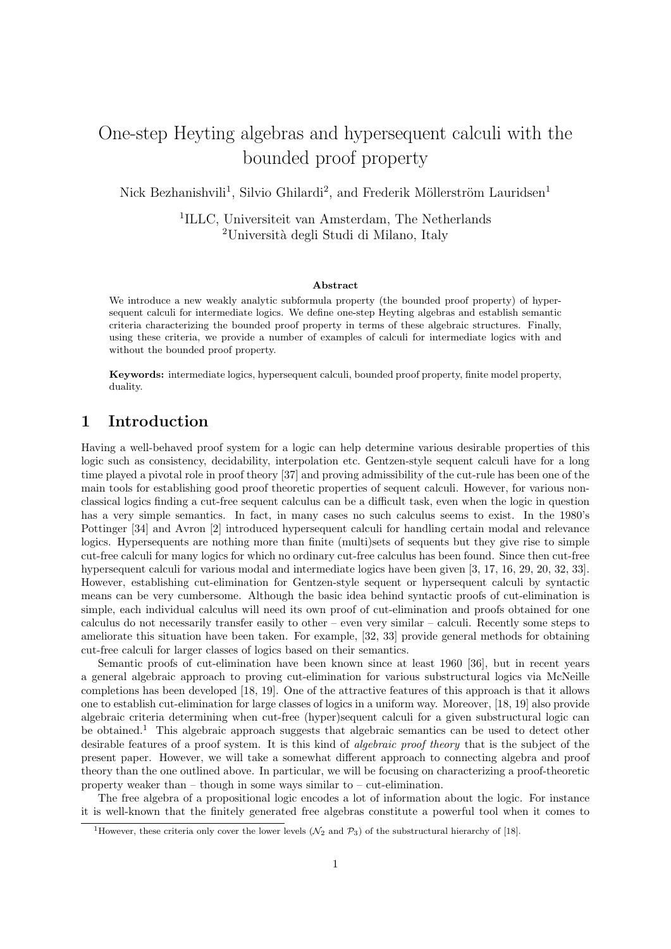# One-step Heyting algebras and hypersequent calculi with the bounded proof property

Nick Bezhanishvili<sup>1</sup>, Silvio Ghilardi<sup>2</sup>, and Frederik Möllerström Lauridsen<sup>1</sup>

1 ILLC, Universiteit van Amsterdam, The Netherlands <sup>2</sup>Università degli Studi di Milano, Italy

#### Abstract

We introduce a new weakly analytic subformula property (the bounded proof property) of hypersequent calculi for intermediate logics. We define one-step Heyting algebras and establish semantic criteria characterizing the bounded proof property in terms of these algebraic structures. Finally, using these criteria, we provide a number of examples of calculi for intermediate logics with and without the bounded proof property.

Keywords: intermediate logics, hypersequent calculi, bounded proof property, finite model property, duality.

## 1 Introduction

Having a well-behaved proof system for a logic can help determine various desirable properties of this logic such as consistency, decidability, interpolation etc. Gentzen-style sequent calculi have for a long time played a pivotal role in proof theory [37] and proving admissibility of the cut-rule has been one of the main tools for establishing good proof theoretic properties of sequent calculi. However, for various nonclassical logics finding a cut-free sequent calculus can be a difficult task, even when the logic in question has a very simple semantics. In fact, in many cases no such calculus seems to exist. In the 1980's Pottinger [34] and Avron [2] introduced hypersequent calculi for handling certain modal and relevance logics. Hypersequents are nothing more than finite (multi)sets of sequents but they give rise to simple cut-free calculi for many logics for which no ordinary cut-free calculus has been found. Since then cut-free hypersequent calculi for various modal and intermediate logics have been given [3, 17, 16, 29, 20, 32, 33]. However, establishing cut-elimination for Gentzen-style sequent or hypersequent calculi by syntactic means can be very cumbersome. Although the basic idea behind syntactic proofs of cut-elimination is simple, each individual calculus will need its own proof of cut-elimination and proofs obtained for one calculus do not necessarily transfer easily to other – even very similar – calculi. Recently some steps to ameliorate this situation have been taken. For example, [32, 33] provide general methods for obtaining cut-free calculi for larger classes of logics based on their semantics.

Semantic proofs of cut-elimination have been known since at least 1960 [36], but in recent years a general algebraic approach to proving cut-elimination for various substructural logics via McNeille completions has been developed [18, 19]. One of the attractive features of this approach is that it allows one to establish cut-elimination for large classes of logics in a uniform way. Moreover, [18, 19] also provide algebraic criteria determining when cut-free (hyper)sequent calculi for a given substructural logic can be obtained.<sup>1</sup> This algebraic approach suggests that algebraic semantics can be used to detect other desirable features of a proof system. It is this kind of algebraic proof theory that is the subject of the present paper. However, we will take a somewhat different approach to connecting algebra and proof theory than the one outlined above. In particular, we will be focusing on characterizing a proof-theoretic property weaker than  $-$  though in some ways similar to  $-$  cut-elimination.

The free algebra of a propositional logic encodes a lot of information about the logic. For instance it is well-known that the finitely generated free algebras constitute a powerful tool when it comes to

<sup>&</sup>lt;sup>1</sup>However, these criteria only cover the lower levels ( $\mathcal{N}_2$  and  $\mathcal{P}_3$ ) of the substructural hierarchy of [18].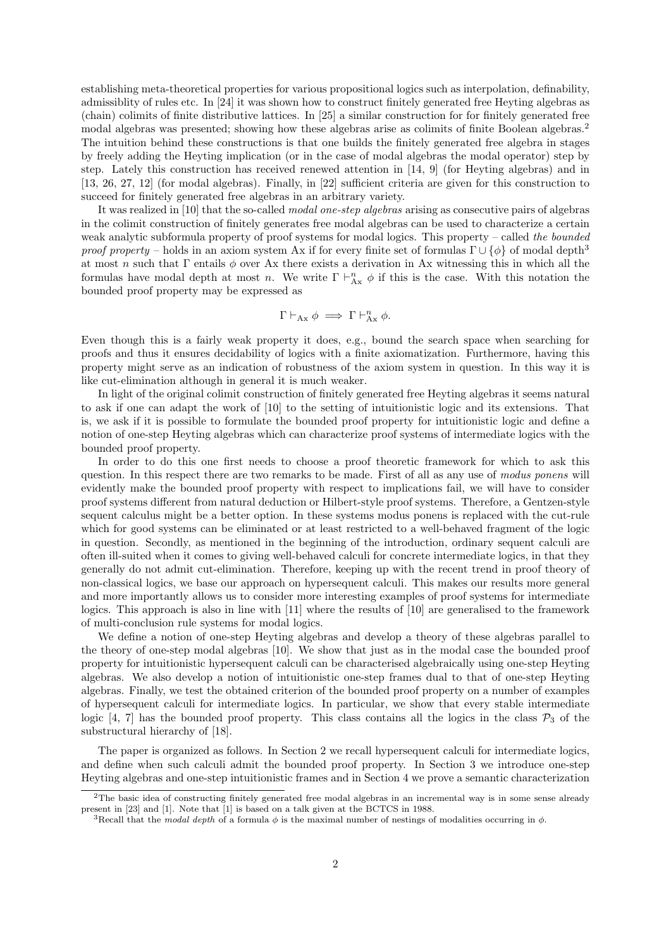establishing meta-theoretical properties for various propositional logics such as interpolation, definability, admissiblity of rules etc. In [24] it was shown how to construct finitely generated free Heyting algebras as (chain) colimits of finite distributive lattices. In [25] a similar construction for for finitely generated free modal algebras was presented; showing how these algebras arise as colimits of finite Boolean algebras.<sup>2</sup> The intuition behind these constructions is that one builds the finitely generated free algebra in stages by freely adding the Heyting implication (or in the case of modal algebras the modal operator) step by step. Lately this construction has received renewed attention in [14, 9] (for Heyting algebras) and in [13, 26, 27, 12] (for modal algebras). Finally, in [22] sufficient criteria are given for this construction to succeed for finitely generated free algebras in an arbitrary variety.

It was realized in [10] that the so-called modal one-step algebras arising as consecutive pairs of algebras in the colimit construction of finitely generates free modal algebras can be used to characterize a certain weak analytic subformula property of proof systems for modal logics. This property – called the bounded proof property – holds in an axiom system Ax if for every finite set of formulas  $\Gamma \cup {\phi}$  of modal depth<sup>3</sup> at most n such that  $\Gamma$  entails  $\phi$  over Ax there exists a derivation in Ax witnessing this in which all the formulas have modal depth at most n. We write  $\Gamma \vdash^n_{Ax} \phi$  if this is the case. With this notation the bounded proof property may be expressed as

$$
\Gamma \vdash_{\text{Ax}} \phi \implies \Gamma \vdash_{\text{Ax}}^{n} \phi.
$$

Even though this is a fairly weak property it does, e.g., bound the search space when searching for proofs and thus it ensures decidability of logics with a finite axiomatization. Furthermore, having this property might serve as an indication of robustness of the axiom system in question. In this way it is like cut-elimination although in general it is much weaker.

In light of the original colimit construction of finitely generated free Heyting algebras it seems natural to ask if one can adapt the work of [10] to the setting of intuitionistic logic and its extensions. That is, we ask if it is possible to formulate the bounded proof property for intuitionistic logic and define a notion of one-step Heyting algebras which can characterize proof systems of intermediate logics with the bounded proof property.

In order to do this one first needs to choose a proof theoretic framework for which to ask this question. In this respect there are two remarks to be made. First of all as any use of modus ponens will evidently make the bounded proof property with respect to implications fail, we will have to consider proof systems different from natural deduction or Hilbert-style proof systems. Therefore, a Gentzen-style sequent calculus might be a better option. In these systems modus ponens is replaced with the cut-rule which for good systems can be eliminated or at least restricted to a well-behaved fragment of the logic in question. Secondly, as mentioned in the beginning of the introduction, ordinary sequent calculi are often ill-suited when it comes to giving well-behaved calculi for concrete intermediate logics, in that they generally do not admit cut-elimination. Therefore, keeping up with the recent trend in proof theory of non-classical logics, we base our approach on hypersequent calculi. This makes our results more general and more importantly allows us to consider more interesting examples of proof systems for intermediate logics. This approach is also in line with [11] where the results of [10] are generalised to the framework of multi-conclusion rule systems for modal logics.

We define a notion of one-step Heyting algebras and develop a theory of these algebras parallel to the theory of one-step modal algebras [10]. We show that just as in the modal case the bounded proof property for intuitionistic hypersequent calculi can be characterised algebraically using one-step Heyting algebras. We also develop a notion of intuitionistic one-step frames dual to that of one-step Heyting algebras. Finally, we test the obtained criterion of the bounded proof property on a number of examples of hypersequent calculi for intermediate logics. In particular, we show that every stable intermediate logic [4, 7] has the bounded proof property. This class contains all the logics in the class  $\mathcal{P}_3$  of the substructural hierarchy of [18].

The paper is organized as follows. In Section 2 we recall hypersequent calculi for intermediate logics, and define when such calculi admit the bounded proof property. In Section 3 we introduce one-step Heyting algebras and one-step intuitionistic frames and in Section 4 we prove a semantic characterization

<sup>2</sup>The basic idea of constructing finitely generated free modal algebras in an incremental way is in some sense already present in [23] and [1]. Note that [1] is based on a talk given at the BCTCS in 1988.

<sup>&</sup>lt;sup>3</sup>Recall that the modal depth of a formula  $\phi$  is the maximal number of nestings of modalities occurring in  $\phi$ .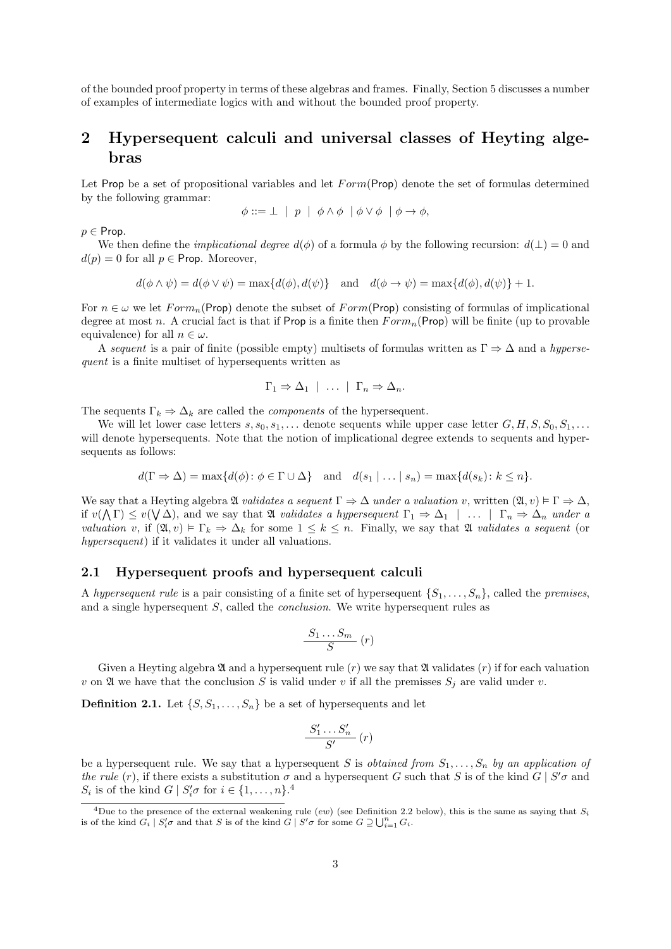of the bounded proof property in terms of these algebras and frames. Finally, Section 5 discusses a number of examples of intermediate logics with and without the bounded proof property.

## 2 Hypersequent calculi and universal classes of Heyting algebras

Let Prop be a set of propositional variables and let  $Form(Prop)$  denote the set of formulas determined by the following grammar:

$$
\phi ::= \bot \mid p \mid \phi \land \phi \mid \phi \lor \phi \mid \phi \to \phi,
$$

 $p \in$  Prop.

We then define the *implicational degree*  $d(\phi)$  of a formula  $\phi$  by the following recursion:  $d(\bot) = 0$  and  $d(p) = 0$  for all  $p \in$  Prop. Moreover,

$$
d(\phi \wedge \psi) = d(\phi \vee \psi) = \max\{d(\phi), d(\psi)\} \text{ and } d(\phi \rightarrow \psi) = \max\{d(\phi), d(\psi)\} + 1.
$$

For  $n \in \omega$  we let  $Form_n$  (Prop) denote the subset of  $Form$  (Prop) consisting of formulas of implicational degree at most n. A crucial fact is that if Prop is a finite then  $Form_n(Prop)$  will be finite (up to provable equivalence) for all  $n \in \omega$ .

A sequent is a pair of finite (possible empty) multisets of formulas written as  $\Gamma \Rightarrow \Delta$  and a hypersequent is a finite multiset of hypersequents written as

$$
\Gamma_1 \Rightarrow \Delta_1 \mid \ldots \mid \Gamma_n \Rightarrow \Delta_n.
$$

The sequents  $\Gamma_k \Rightarrow \Delta_k$  are called the *components* of the hypersequent.

We will let lower case letters  $s, s_0, s_1, \ldots$  denote sequents while upper case letter  $G, H, S, S_0, S_1, \ldots$ will denote hypersequents. Note that the notion of implicational degree extends to sequents and hypersequents as follows:

$$
d(\Gamma \Rightarrow \Delta) = \max\{d(\phi) \colon \phi \in \Gamma \cup \Delta\} \quad \text{and} \quad d(s_1 \mid \dots \mid s_n) = \max\{d(s_k) \colon k \leq n\}.
$$

We say that a Heyting algebra  $\mathfrak A$  validates a sequent  $\Gamma \Rightarrow \Delta$  under a valuation v, written  $(\mathfrak A, v) \models \Gamma \Rightarrow \Delta$ , if  $v(\Lambda \Gamma) \leq v(\Lambda \Delta)$ , and we say that  $\mathfrak A$  validates a hypersequent  $\Gamma_1 \Rightarrow \Delta_1 \mid \ldots \mid \Gamma_n \Rightarrow \Delta_n$  under a valuation v, if  $(\mathfrak{A}, v) \models \Gamma_k \Rightarrow \Delta_k$  for some  $1 \leq k \leq n$ . Finally, we say that  $\mathfrak{A}$  validates a sequent (or hypersequent) if it validates it under all valuations.

#### 2.1 Hypersequent proofs and hypersequent calculi

A hypersequent rule is a pair consisting of a finite set of hypersequent  $\{S_1, \ldots, S_n\}$ , called the premises, and a single hypersequent S, called the conclusion. We write hypersequent rules as

$$
\frac{S_1 \dots S_m}{S} (r)
$$

Given a Heyting algebra  $\mathfrak A$  and a hypersequent rule  $(r)$  we say that  $\mathfrak A$  validates  $(r)$  if for each valuation v on  $\mathfrak A$  we have that the conclusion S is valid under v if all the premisses  $S_j$  are valid under v.

**Definition 2.1.** Let  $\{S, S_1, \ldots, S_n\}$  be a set of hypersequents and let

$$
\frac{S_1' \dots S_n'}{S'}\left(r\right)
$$

be a hypersequent rule. We say that a hypersequent S is *obtained from*  $S_1, \ldots, S_n$  by an application of the rule (r), if there exists a substitution  $\sigma$  and a hypersequent G such that S is of the kind  $G \mid S' \sigma$  and  $S_i$  is of the kind  $G \mid S'_i \sigma$  for  $i \in \{1, \ldots, n\}$ .<sup>4</sup>

<sup>&</sup>lt;sup>4</sup>Due to the presence of the external weakening rule (ew) (see Definition 2.2 below), this is the same as saying that  $S_i$ is of the kind  $G_i | S'_i \sigma$  and that S is of the kind  $\tilde{G} | S' \sigma$  for some  $G \supseteq \bigcup_{i=1}^n G_i$ .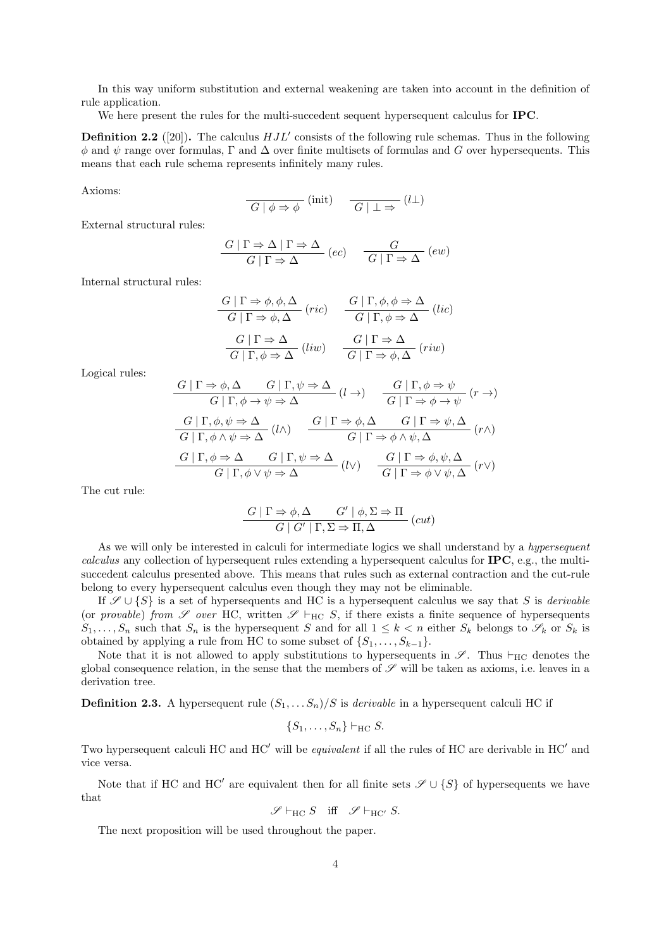In this way uniform substitution and external weakening are taken into account in the definition of rule application.

We here present the rules for the multi-succedent sequent hypersequent calculus for **IPC**.

**Definition 2.2** ([20]). The calculus  $HJL'$  consists of the following rule schemas. Thus in the following  $\phi$  and  $\psi$  range over formulas,  $\Gamma$  and  $\Delta$  over finite multisets of formulas and G over hypersequents. This means that each rule schema represents infinitely many rules.

Axioms:

$$
\overline{G \mid \phi \Rightarrow \phi} \text{ (init)} \quad \overline{G \mid \bot \Rightarrow} \text{ (l\bot)}
$$

External structural rules:

$$
\frac{G | \Gamma \Rightarrow \Delta | \Gamma \Rightarrow \Delta}{G | \Gamma \Rightarrow \Delta} (ec) \frac{G}{G | \Gamma \Rightarrow \Delta} (ew)
$$

Internal structural rules:

$$
\frac{G \mid \Gamma \Rightarrow \phi, \phi, \Delta}{G \mid \Gamma \Rightarrow \phi, \Delta} \text{ (ric)} \qquad \frac{G \mid \Gamma, \phi, \phi \Rightarrow \Delta}{G \mid \Gamma, \phi \Rightarrow \Delta} \text{ (lic)}
$$
\n
$$
\frac{G \mid \Gamma \Rightarrow \Delta}{G \mid \Gamma, \phi \Rightarrow \Delta} \text{ (liv)} \qquad \frac{G \mid \Gamma \Rightarrow \Delta}{G \mid \Gamma \Rightarrow \phi, \Delta} \text{ (riw)}
$$

Logical rules:

$$
\frac{G \mid \Gamma \Rightarrow \phi, \Delta \qquad G \mid \Gamma, \psi \Rightarrow \Delta}{G \mid \Gamma, \phi \rightarrow \psi \Rightarrow \Delta} (l \rightarrow) \qquad \frac{G \mid \Gamma, \phi \Rightarrow \psi}{G \mid \Gamma \Rightarrow \phi \rightarrow \psi} (r \rightarrow)
$$
\n
$$
\frac{G \mid \Gamma, \phi, \psi \Rightarrow \Delta}{G \mid \Gamma, \phi \land \psi \Rightarrow \Delta} (l \land) \qquad \frac{G \mid \Gamma \Rightarrow \phi, \Delta}{G \mid \Gamma \Rightarrow \phi \land \psi, \Delta} (r \land)
$$
\n
$$
\frac{G \mid \Gamma, \phi \Rightarrow \Delta}{G \mid \Gamma, \phi \rightarrow \phi \Rightarrow \Delta} (l \land) \qquad \frac{G \mid \Gamma \Rightarrow \phi, \Delta}{G \mid \Gamma \Rightarrow \phi \land \psi, \Delta} (r \land)
$$
\n
$$
\frac{G \mid \Gamma, \phi \Rightarrow \Delta}{G \mid \Gamma, \phi \lor \psi \Rightarrow \Delta} (l \lor) \qquad \frac{G \mid \Gamma \Rightarrow \phi, \psi, \Delta}{G \mid \Gamma \Rightarrow \phi \lor \psi, \Delta} (r \lor)
$$

The cut rule:

$$
\frac{G \mid \Gamma \Rightarrow \phi, \Delta \qquad G' \mid \phi, \Sigma \Rightarrow \Pi}{G \mid G' \mid \Gamma, \Sigma \Rightarrow \Pi, \Delta} (cut)
$$

As we will only be interested in calculi for intermediate logics we shall understand by a *hypersequent* calculus any collection of hypersequent rules extending a hypersequent calculus for IPC, e.g., the multisuccedent calculus presented above. This means that rules such as external contraction and the cut-rule belong to every hypersequent calculus even though they may not be eliminable.

If  $\mathscr{S} \cup {\{S\}}$  is a set of hypersequents and HC is a hypersequent calculus we say that S is *derivable* (or provable) from  $\mathscr S$  over HC, written  $\mathscr S \vdash_{\mathrm{HC}} S$ , if there exists a finite sequence of hypersequents  $S_1, \ldots, S_n$  such that  $S_n$  is the hypersequent S and for all  $1 \leq k < n$  either  $S_k$  belongs to  $\mathscr{S}_k$  or  $S_k$  is obtained by applying a rule from HC to some subset of  $\{S_1, \ldots, S_{k-1}\}.$ 

Note that it is not allowed to apply substitutions to hypersequents in  $\mathscr{S}$ . Thus  $\vdash_{HC}$  denotes the global consequence relation, in the sense that the members of  $\mathscr S$  will be taken as axioms, i.e. leaves in a derivation tree.

**Definition 2.3.** A hypersequent rule  $(S_1, \ldots, S_n)/S$  is *derivable* in a hypersequent calculi HC if

$$
\{S_1,\ldots,S_n\}\vdash_{\mathrm{HC}} S.
$$

Two hypersequent calculi HC and  $HC'$  will be *equivalent* if all the rules of HC are derivable in  $HC'$  and vice versa.

Note that if HC and HC<sup> $\prime$ </sup> are equivalent then for all finite sets  $\mathscr{S} \cup \{S\}$  of hypersequents we have that

$$
\mathscr{S}\vdash_{\mathrm{HC}} S\quad\mathrm{iff}\quad\mathscr{S}\vdash_{\mathrm{HC}'} S.
$$

The next proposition will be used throughout the paper.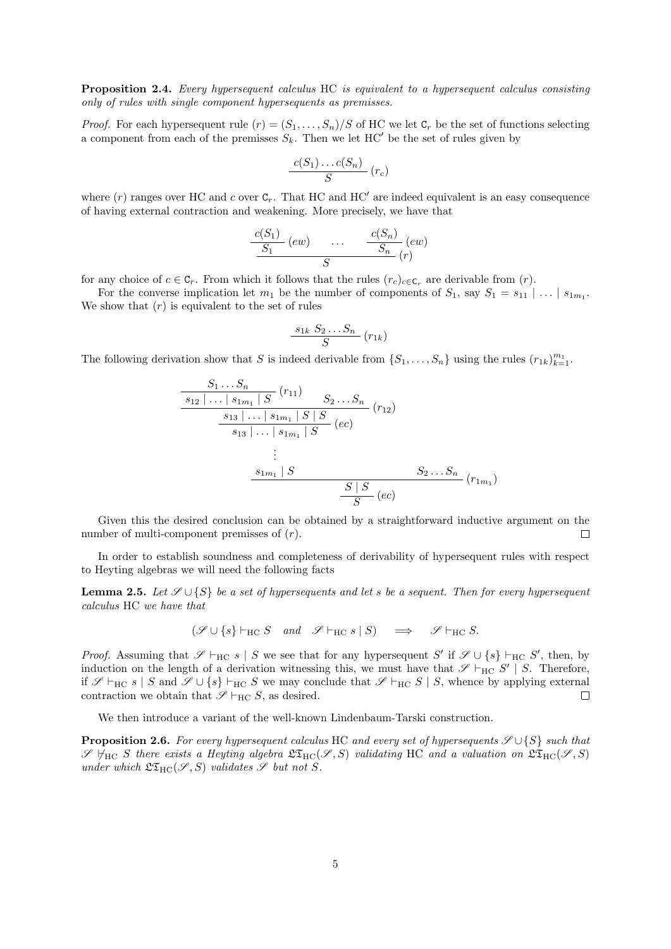Proposition 2.4. Every hypersequent calculus HC is equivalent to a hypersequent calculus consisting only of rules with single component hypersequents as premisses.

*Proof.* For each hypersequent rule  $(r) = (S_1, \ldots, S_n)/S$  of HC we let  $C_r$  be the set of functions selecting a component from each of the premisses  $S_k$ . Then we let HC' be the set of rules given by

$$
\frac{c(S_1)\dots c(S_n)}{S}(r_c)
$$

where  $(r)$  ranges over HC and c over  $C_r$ . That HC and HC' are indeed equivalent is an easy consequence of having external contraction and weakening. More precisely, we have that

$$
\frac{c(S_1)}{S_1}(ew) \quad \ldots \quad \frac{c(S_n)}{S_n}(ew) \quad \overline{\qquad \qquad }\\ \frac{c(S_n)}{S_n}(r)
$$

for any choice of  $c \in \mathbb{C}_r$ . From which it follows that the rules  $(r_c)_{c \in \mathbb{C}_r}$  are derivable from  $(r)$ .

For the converse implication let  $m_1$  be the number of components of  $S_1$ , say  $S_1 = s_{11} \mid \ldots \mid s_{1m_1}$ . We show that  $(r)$  is equivalent to the set of rules

$$
\frac{s_{1k} S_2 \dots S_n}{S} (r_{1k})
$$

The following derivation show that S is indeed derivable from  $\{S_1, \ldots, S_n\}$  using the rules  $(r_{1k})_{k=1}^{m_1}$ .

$$
\frac{S_1 \dots S_n}{s_{12} \mid \dots \mid s_{1m_1} \mid S} (r_{11}) \qquad S_2 \dots S_n}{s_{13} \mid \dots \mid s_{1m_1} \mid S \mid S \qquad (rc)}
$$
\n
$$
\vdots
$$
\n
$$
\vdots
$$
\n
$$
s_{1m_1} \mid S \qquad S_2 \dots S_n
$$
\n
$$
\frac{s_{1m_1} \mid S}{S} (ec)
$$
\n
$$
\frac{S \mid S}{S} (ec)
$$
\n
$$
(r_{1m_1})
$$

Given this the desired conclusion can be obtained by a straightforward inductive argument on the number of multi-component premisses of  $(r)$ .  $\Box$ 

In order to establish soundness and completeness of derivability of hypersequent rules with respect to Heyting algebras we will need the following facts

**Lemma 2.5.** Let  $\mathcal{S} \cup \{S\}$  be a set of hypersequents and let s be a sequent. Then for every hypersequent calculus HC we have that

$$
(\mathscr{S} \cup \{s\} \vdash_{\mathrm{HC}} S \quad and \quad \mathscr{S} \vdash_{\mathrm{HC}} s \mid S) \quad \implies \quad \mathscr{S} \vdash_{\mathrm{HC}} S.
$$

*Proof.* Assuming that  $\mathscr{S} \vdash_{HC} s \mid S$  we see that for any hypersequent S' if  $\mathscr{S} \cup \{s\} \vdash_{HC} S'$ , then, by induction on the length of a derivation witnessing this, we must have that  $\mathscr{S} \vdash_{HC} S' | S$ . Therefore, if  $\mathscr{S} \vdash_{HC} s | S$  and  $\mathscr{S} \cup \{s\} \vdash_{HC} S$  we may conclude that  $\mathscr{S} \vdash_{HC} S | S$ , whence by applying external contraction we obtain that  $\mathscr{S} \vdash_{\mathrm{HC}} S$ , as desired.  $\Box$ 

We then introduce a variant of the well-known Lindenbaum-Tarski construction.

**Proposition 2.6.** For every hypersequent calculus HC and every set of hypersequents  $\mathscr{S} \cup \{S\}$  such that  $\mathscr{S}$   $\forall$ HC S there exists a Heyting algebra  $\mathfrak{LT}_{HC}(\mathscr{S}, S)$  validating HC and a valuation on  $\mathfrak{LT}_{HC}(\mathscr{S}, S)$ under which  $\mathfrak{LT}_{HC}(\mathscr{S}, S)$  validates  $\mathscr{S}$  but not S.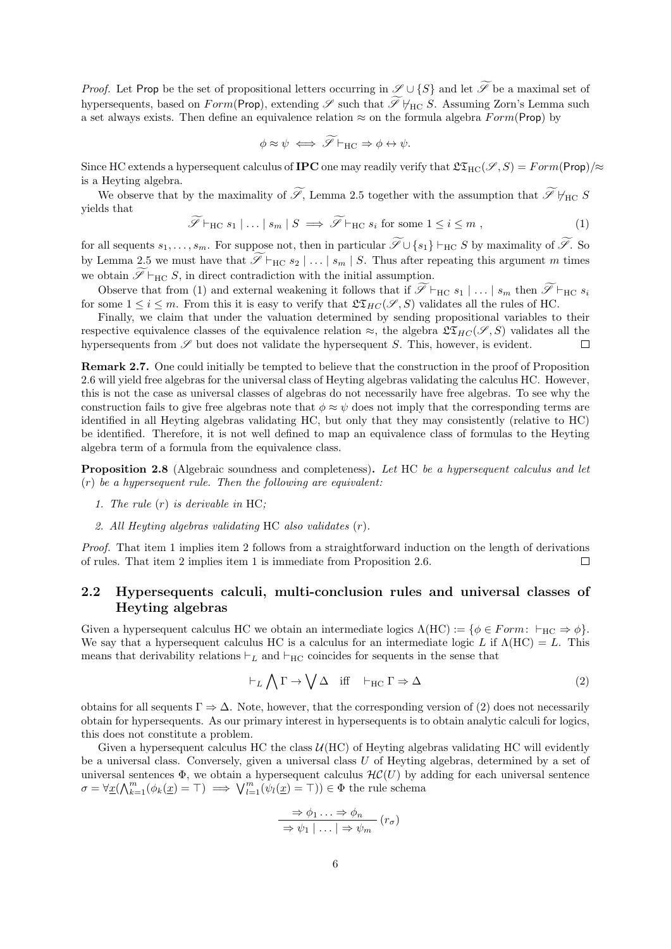*Proof.* Let Prop be the set of propositional letters occurring in  $\mathscr{S} \cup \{S\}$  and let  $\widetilde{\mathscr{S}}$  be a maximal set of hypersequents, based on  $Form(\text{Prop})$ , extending  $\mathscr S$  such that  $\widetilde{\mathscr S}\not\models_{\text{HC}} S$ . Assuming Zorn's Lemma such a set always exists. Then define an equivalence relation  $\approx$  on the formula algebra  $Form(\text{Prop})$  by

$$
\phi \approx \psi \iff \widetilde{\mathscr{S}} \vdash_{\mathrm{HC}} \Rightarrow \phi \leftrightarrow \psi.
$$

Since HC extends a hypersequent calculus of **IPC** one may readily verify that  $\mathfrak{LT}_{HC}(\mathscr{S}, S) = Form(\text{Prop})/\approx$ is a Heyting algebra.

We observe that by the maximality of  $\widetilde{\mathscr{S}}$ , Lemma 2.5 together with the assumption that  $\widetilde{\mathscr{S}}\not\models_{HC} S$ yields that

$$
\widetilde{\mathscr{S}} \vdash_{HC} s_1 \mid \ldots \mid s_m \mid S \implies \widetilde{\mathscr{S}} \vdash_{HC} s_i \text{ for some } 1 \leq i \leq m , \tag{1}
$$

for all sequents  $s_1, \ldots, s_m$ . For suppose not, then in particular  $\widetilde{\mathscr{S}} \cup \{s_1\} \vdash_{HC} S$  by maximality of  $\widetilde{\mathscr{S}}$ . So by Lemma 2.5 we must have that  $\widetilde{\mathscr{S}}\vdash_{\mathrm{HC}} s_2 | \ldots | s_m | S$ . Thus after repeating this argument m times we obtain  $\widetilde{\mathscr{S}}\vdash_{\mathrm{HC}} S$ , in direct contradiction with the initial assumption.

Observe that from (1) and external weakening it follows that if  $\widetilde{\mathscr{S}}\vdash_{\mathrm{HC}} s_1 | \ldots | s_m$  then  $\widetilde{\mathscr{S}}\vdash_{\mathrm{HC}} s_i$ for some  $1 \leq i \leq m$ . From this it is easy to verify that  $\mathfrak{LT}_{HC}(\mathscr{S}, S)$  validates all the rules of HC.

Finally, we claim that under the valuation determined by sending propositional variables to their respective equivalence classes of the equivalence relation  $\approx$ , the algebra  $\mathfrak{LT}_{HC}(\mathscr{S}, S)$  validates all the hypersequents from  $\mathscr S$  but does not validate the hypersequent  $S$ . This, however, is evident.  $\Box$ 

Remark 2.7. One could initially be tempted to believe that the construction in the proof of Proposition 2.6 will yield free algebras for the universal class of Heyting algebras validating the calculus HC. However, this is not the case as universal classes of algebras do not necessarily have free algebras. To see why the construction fails to give free algebras note that  $\phi \approx \psi$  does not imply that the corresponding terms are identified in all Heyting algebras validating HC, but only that they may consistently (relative to HC) be identified. Therefore, it is not well defined to map an equivalence class of formulas to the Heyting algebra term of a formula from the equivalence class.

**Proposition 2.8** (Algebraic soundness and completeness). Let HC be a hypersequent calculus and let  $(r)$  be a hypersequent rule. Then the following are equivalent:

- 1. The rule  $(r)$  is derivable in HC;
- 2. All Heyting algebras validating HC also validates (r).

Proof. That item 1 implies item 2 follows from a straightforward induction on the length of derivations of rules. That item 2 implies item 1 is immediate from Proposition 2.6. П

#### 2.2 Hypersequents calculi, multi-conclusion rules and universal classes of Heyting algebras

Given a hypersequent calculus HC we obtain an intermediate logics  $\Lambda(HC) := \{ \phi \in Form: \vdash_{HC} \Rightarrow \phi \}.$ We say that a hypersequent calculus HC is a calculus for an intermediate logic L if  $\Lambda(HC) = L$ . This means that derivability relations  $\vdash_L$  and  $\vdash_{HC}$  coincides for sequents in the sense that

$$
\vdash_L \bigwedge \Gamma \to \bigvee \Delta \quad \text{iff} \quad \vdash_{\mathrm{HC}} \Gamma \Rightarrow \Delta \tag{2}
$$

obtains for all sequents  $\Gamma \Rightarrow \Delta$ . Note, however, that the corresponding version of (2) does not necessarily obtain for hypersequents. As our primary interest in hypersequents is to obtain analytic calculi for logics, this does not constitute a problem.

Given a hypersequent calculus HC the class  $U(HC)$  of Heyting algebras validating HC will evidently be a universal class. Conversely, given a universal class  $U$  of Heyting algebras, determined by a set of universal sentences  $\Phi$ , we obtain a hypersequent calculus  $\mathcal{HC}(U)$  by adding for each universal sentence  $\sigma = \forall \underline{x}(\bigwedge_{k=1}^{m} (\phi_k(\underline{x}) = \top) \implies \bigvee_{l=1}^{m} (\psi_l(\underline{x}) = \top)) \in \Phi$  the rule schema

$$
\Rightarrow \phi_1 \dots \Rightarrow \phi_n
$$
  
\n
$$
\Rightarrow \psi_1 \mid \dots \mid \Rightarrow \psi_m
$$
 (r<sub>\sigma</sub>)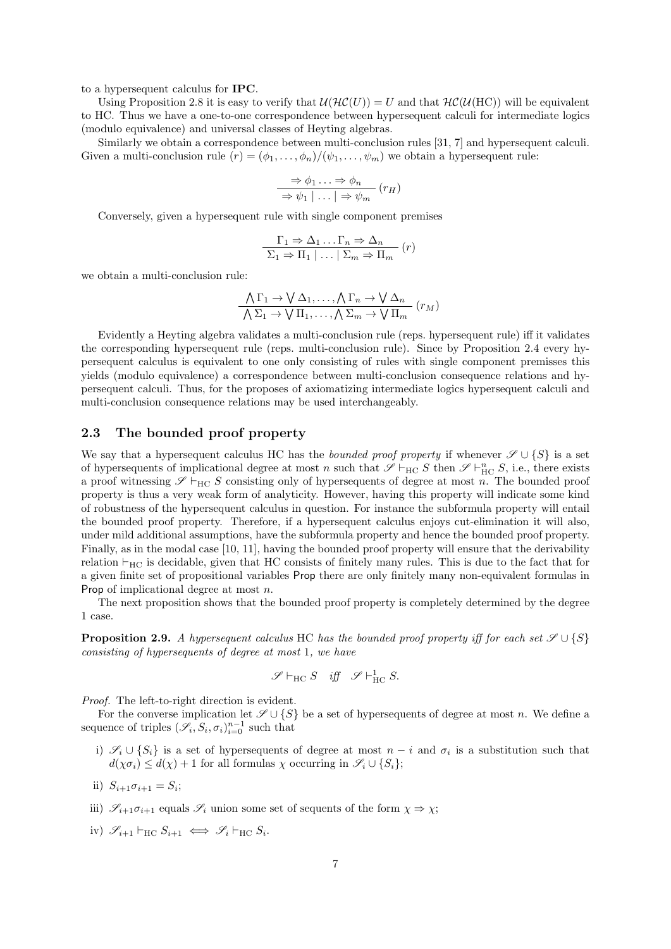to a hypersequent calculus for IPC.

Using Proposition 2.8 it is easy to verify that  $\mathcal{U}(\mathcal{HC}(U)) = U$  and that  $\mathcal{HC}(\mathcal{U}(HC))$  will be equivalent to HC. Thus we have a one-to-one correspondence between hypersequent calculi for intermediate logics (modulo equivalence) and universal classes of Heyting algebras.

Similarly we obtain a correspondence between multi-conclusion rules [31, 7] and hypersequent calculi. Given a multi-conclusion rule  $(r) = (\phi_1, \ldots, \phi_n) / (\psi_1, \ldots, \psi_m)$  we obtain a hypersequent rule:

$$
\Rightarrow \phi_1 \dots \Rightarrow \phi_n
$$
  
\n
$$
\Rightarrow \psi_1 | \dots | \Rightarrow \psi_m
$$
 (r<sub>H</sub>)

Conversely, given a hypersequent rule with single component premises

$$
\Gamma_1 \Rightarrow \Delta_1 \dots \Gamma_n \Rightarrow \Delta_n
$$
  

$$
\Sigma_1 \Rightarrow \Pi_1 \mid \dots \mid \Sigma_m \Rightarrow \Pi_m
$$
 (r)

we obtain a multi-conclusion rule:

$$
\frac{\bigwedge \Gamma_1 \to \bigvee \Delta_1, \dots, \bigwedge \Gamma_n \to \bigvee \Delta_n}{\bigwedge \Sigma_1 \to \bigvee \Pi_1, \dots, \bigwedge \Sigma_m \to \bigvee \Pi_m} (r_M)
$$

Evidently a Heyting algebra validates a multi-conclusion rule (reps. hypersequent rule) iff it validates the corresponding hypersequent rule (reps. multi-conclusion rule). Since by Proposition 2.4 every hypersequent calculus is equivalent to one only consisting of rules with single component premisses this yields (modulo equivalence) a correspondence between multi-conclusion consequence relations and hypersequent calculi. Thus, for the proposes of axiomatizing intermediate logics hypersequent calculi and multi-conclusion consequence relations may be used interchangeably.

#### 2.3 The bounded proof property

We say that a hypersequent calculus HC has the *bounded proof property* if whenever  $\mathscr{S} \cup \{S\}$  is a set of hypersequents of implicational degree at most n such that  $\mathscr{S} \vdash_{HC} S$  then  $\mathscr{S} \vdash_{HC}^n S$ , i.e., there exists a proof witnessing  $\mathscr{S} \vdash_{HC} S$  consisting only of hypersequents of degree at most n. The bounded proof property is thus a very weak form of analyticity. However, having this property will indicate some kind of robustness of the hypersequent calculus in question. For instance the subformula property will entail the bounded proof property. Therefore, if a hypersequent calculus enjoys cut-elimination it will also, under mild additional assumptions, have the subformula property and hence the bounded proof property. Finally, as in the modal case [10, 11], having the bounded proof property will ensure that the derivability relation  $\vdash_{HC}$  is decidable, given that HC consists of finitely many rules. This is due to the fact that for a given finite set of propositional variables Prop there are only finitely many non-equivalent formulas in Prop of implicational degree at most n.

The next proposition shows that the bounded proof property is completely determined by the degree 1 case.

**Proposition 2.9.** A hypersequent calculus HC has the bounded proof property iff for each set  $\mathscr{S} \cup \{S\}$ consisting of hypersequents of degree at most 1, we have

$$
\mathscr{S}\vdash_{\mathrm{HC}} S\quad\text{iff}\quad\mathscr{S}\vdash_{\mathrm{HC}}^1 S.
$$

Proof. The left-to-right direction is evident.

For the converse implication let  $\mathscr{S} \cup \{S\}$  be a set of hypersequents of degree at most n. We define a sequence of triples  $(\mathscr{S}_i, S_i, \sigma_i)_{i=0}^{n-1}$  such that

- i)  $\mathscr{S}_i \cup \{S_i\}$  is a set of hypersequents of degree at most  $n-i$  and  $\sigma_i$  is a substitution such that  $d(\chi \sigma_i) \leq d(\chi) + 1$  for all formulas  $\chi$  occurring in  $\mathscr{S}_i \cup \{S_i\};$
- ii)  $S_{i+1}\sigma_{i+1} = S_i;$
- iii)  $\mathscr{S}_{i+1}\sigma_{i+1}$  equals  $\mathscr{S}_i$  union some set of sequents of the form  $\chi \Rightarrow \chi$ ;
- iv)  $\mathscr{S}_{i+1} \vdash_{HC} S_{i+1} \iff \mathscr{S}_i \vdash_{HC} S_i$ .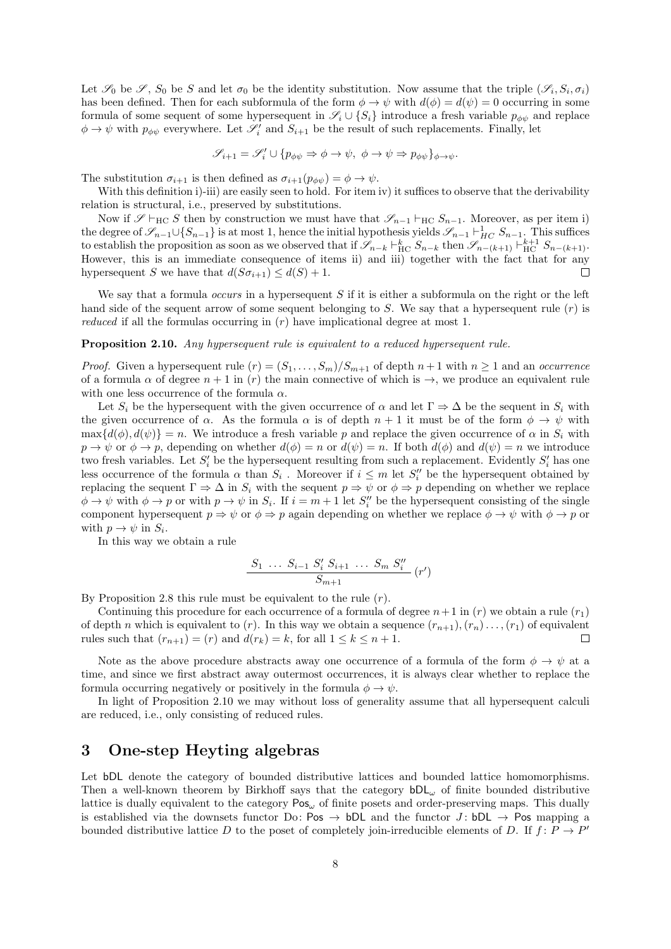Let  $\mathscr{S}_0$  be  $\mathscr{S}, S_0$  be S and let  $\sigma_0$  be the identity substitution. Now assume that the triple  $(\mathscr{S}_i, S_i, \sigma_i)$ has been defined. Then for each subformula of the form  $\phi \to \psi$  with  $d(\phi) = d(\psi) = 0$  occurring in some formula of some sequent of some hypersequent in  $\mathscr{S}_i \cup \{S_i\}$  introduce a fresh variable  $p_{\phi\psi}$  and replace  $\phi \to \psi$  with  $p_{\phi\psi}$  everywhere. Let  $\mathscr{S}'_i$  and  $S_{i+1}$  be the result of such replacements. Finally, let

$$
\mathscr{S}_{i+1} = \mathscr{S}'_i \cup \{p_{\phi\psi} \Rightarrow \phi \to \psi, \ \phi \to \psi \Rightarrow p_{\phi\psi}\}_{\phi \to \psi}.
$$

The substitution  $\sigma_{i+1}$  is then defined as  $\sigma_{i+1}(p_{\phi\psi}) = \phi \to \psi$ .

With this definition i)-iii) are easily seen to hold. For item iv) it suffices to observe that the derivability relation is structural, i.e., preserved by substitutions.

Now if  $\mathscr{S} \vdash_{\text{HC}} S$  then by construction we must have that  $\mathscr{S}_{n-1} \vdash_{\text{HC}} S_{n-1}$ . Moreover, as per item i) the degree of  $\mathscr{S}_{n-1}\cup\{S_{n-1}\}\$  is at most 1, hence the initial hypothesis yields  $\mathscr{S}_{n-1}\vdash^1_{HC} S_{n-1}$ . This suffices to establish the proposition as soon as we observed that if  $\mathscr{S}_{n-k} \vdash^k_{\text{HC}} S_{n-k}$  then  $\mathscr{S}_{n-(k+1)} \vdash^k_{\text{HC}} S_{n-(k+1)}$ . However, this is an immediate consequence of items ii) and iii) together with the fact that for any hypersequent S we have that  $d(S\sigma_{i+1}) \leq d(S) + 1$ .  $\Box$ 

We say that a formula *occurs* in a hypersequent  $S$  if it is either a subformula on the right or the left hand side of the sequent arrow of some sequent belonging to S. We say that a hypersequent rule  $(r)$  is reduced if all the formulas occurring in  $(r)$  have implicational degree at most 1.

#### Proposition 2.10. Any hypersequent rule is equivalent to a reduced hypersequent rule.

*Proof.* Given a hypersequent rule  $(r) = (S_1, \ldots, S_m)/S_{m+1}$  of depth  $n+1$  with  $n \ge 1$  and an occurrence of a formula  $\alpha$  of degree  $n + 1$  in (r) the main connective of which is  $\rightarrow$ , we produce an equivalent rule with one less occurrence of the formula  $\alpha$ .

Let  $S_i$  be the hypersequent with the given occurrence of  $\alpha$  and let  $\Gamma \Rightarrow \Delta$  be the sequent in  $S_i$  with the given occurrence of  $\alpha$ . As the formula  $\alpha$  is of depth  $n + 1$  it must be of the form  $\phi \to \psi$  with  $\max\{d(\phi), d(\psi)\} = n$ . We introduce a fresh variable p and replace the given occurrence of  $\alpha$  in  $S_i$  with  $p \to \psi$  or  $\phi \to p$ , depending on whether  $d(\phi) = n$  or  $d(\psi) = n$ . If both  $d(\phi)$  and  $d(\psi) = n$  we introduce two fresh variables. Let  $S_i'$  be the hypersequent resulting from such a replacement. Evidently  $S_i'$  has one less occurrence of the formula  $\alpha$  than  $S_i$ . Moreover if  $i \leq m$  let  $S''_i$  be the hypersequent obtained by replacing the sequent  $\Gamma \Rightarrow \Delta$  in  $S_i$  with the sequent  $p \Rightarrow \psi$  or  $\phi \Rightarrow p$  depending on whether we replace  $\phi \to \psi$  with  $\phi \to p$  or with  $p \to \psi$  in  $S_i$ . If  $i = m + 1$  let  $S''_i$  be the hypersequent consisting of the single component hypersequent  $p \Rightarrow \psi$  or  $\phi \Rightarrow p$  again depending on whether we replace  $\phi \rightarrow \psi$  with  $\phi \rightarrow p$  or with  $p \to \psi$  in  $S_i$ .

In this way we obtain a rule

$$
\frac{S_1 \ \ldots \ S_{i-1} \ S_i' \ S_{i+1} \ \ldots \ S_m \ S_i''}{S_{m+1}} \ (r')
$$

By Proposition 2.8 this rule must be equivalent to the rule  $(r)$ .

Continuing this procedure for each occurrence of a formula of degree  $n+1$  in  $(r)$  we obtain a rule  $(r_1)$ of depth n which is equivalent to (r). In this way we obtain a sequence  $(r_{n+1}), (r_n) \dots, (r_1)$  of equivalent rules such that  $(r_{n+1}) = (r)$  and  $d(r_k) = k$ , for all  $1 \leq k \leq n+1$ .  $\Box$ 

Note as the above procedure abstracts away one occurrence of a formula of the form  $\phi \to \psi$  at a time, and since we first abstract away outermost occurrences, it is always clear whether to replace the formula occurring negatively or positively in the formula  $\phi \to \psi$ .

In light of Proposition 2.10 we may without loss of generality assume that all hypersequent calculi are reduced, i.e., only consisting of reduced rules.

## 3 One-step Heyting algebras

Let **bDL** denote the category of bounded distributive lattices and bounded lattice homomorphisms. Then a well-known theorem by Birkhoff says that the category  $bDL_\omega$  of finite bounded distributive lattice is dually equivalent to the category  $Pos_{\omega}$  of finite posets and order-preserving maps. This dually is established via the downsets functor Do: Pos  $\rightarrow$  bDL and the functor J: bDL  $\rightarrow$  Pos mapping a bounded distributive lattice D to the poset of completely join-irreducible elements of D. If  $f: P \to P'$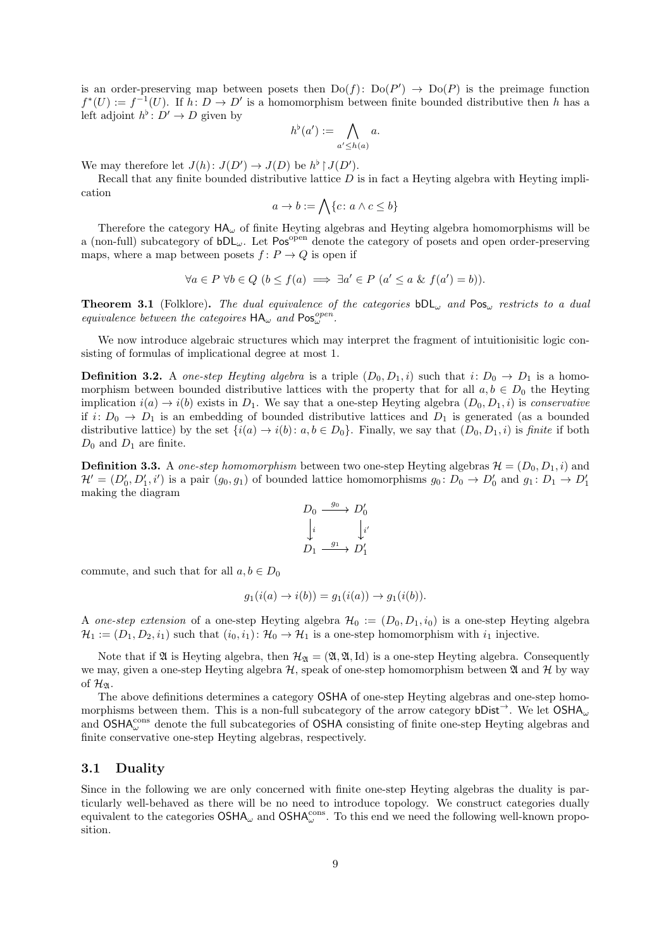is an order-preserving map between posets then  $Do(f)$ :  $Do(P') \rightarrow Do(P)$  is the preimage function  $f^*(U) := f^{-1}(U)$ . If  $h: D \to D'$  is a homomorphism between finite bounded distributive then h has a left adjoint  $h^{\flat}$ :  $D' \to D$  given by

$$
h^{\flat}(a') := \bigwedge_{a' \leq h(a)} a.
$$

We may therefore let  $J(h)$ :  $J(D') \to J(D)$  be  $h^{\flat} \restriction J(D')$ .

Recall that any finite bounded distributive lattice  $D$  is in fact a Heyting algebra with Heyting implication

$$
a \to b := \bigwedge \{c \colon a \land c \le b\}
$$

Therefore the category  $HA_{\omega}$  of finite Heyting algebras and Heyting algebra homomorphisms will be a (non-full) subcategory of  $bDL_\omega$ . Let Pos<sup>open</sup> denote the category of posets and open order-preserving maps, where a map between posets  $f: P \to Q$  is open if

$$
\forall a \in P \ \forall b \in Q \ (b \le f(a) \implies \exists a' \in P \ (a' \le a \ \& \ f(a') = b)).
$$

**Theorem 3.1** (Folklore). The dual equivalence of the categories  $bDL_{\omega}$  and Pos<sub> $\omega$ </sub> restricts to a dual equivalence between the categoires  $HA_{\omega}$  and  $Pos_{\omega}^{open}$ .

We now introduce algebraic structures which may interpret the fragment of intuitionisitic logic consisting of formulas of implicational degree at most 1.

**Definition 3.2.** A one-step Heyting algebra is a triple  $(D_0, D_1, i)$  such that  $i: D_0 \to D_1$  is a homomorphism between bounded distributive lattices with the property that for all  $a, b \in D_0$  the Heyting implication  $i(a) \rightarrow i(b)$  exists in  $D_1$ . We say that a one-step Heyting algebra  $(D_0, D_1, i)$  is conservative if  $i: D_0 \to D_1$  is an embedding of bounded distributive lattices and  $D_1$  is generated (as a bounded distributive lattice) by the set  $\{i(a) \to i(b): a, b \in D_0\}$ . Finally, we say that  $(D_0, D_1, i)$  is finite if both  $D_0$  and  $D_1$  are finite.

**Definition 3.3.** A one-step homomorphism between two one-step Heyting algebras  $\mathcal{H} = (D_0, D_1, i)$  and  $\mathcal{H}' = (D'_0, D'_1, i')$  is a pair  $(g_0, g_1)$  of bounded lattice homomorphisms  $g_0: D_0 \to D'_0$  and  $g_1: D_1 \to D'_1$ making the diagram

$$
D_0 \xrightarrow{g_0} D'_0
$$
  
\n
$$
\downarrow i
$$
  
\n
$$
D_1 \xrightarrow{g_1} D'_1
$$

commute, and such that for all  $a, b \in D_0$ 

$$
g_1(i(a) \to i(b)) = g_1(i(a)) \to g_1(i(b)).
$$

A one-step extension of a one-step Heyting algebra  $\mathcal{H}_0 := (D_0, D_1, i_0)$  is a one-step Heyting algebra  $\mathcal{H}_1 := (D_1, D_2, i_1)$  such that  $(i_0, i_1): \mathcal{H}_0 \to \mathcal{H}_1$  is a one-step homomorphism with  $i_1$  injective.

Note that if  $\mathfrak A$  is Heyting algebra, then  $\mathcal{H}_{\mathfrak A} = (\mathfrak A, \mathfrak A, Id)$  is a one-step Heyting algebra. Consequently we may, given a one-step Heyting algebra  $H$ , speak of one-step homomorphism between  $\mathfrak A$  and  $\mathcal H$  by way of  $\mathcal{H}_{\mathfrak{A}}$ .

The above definitions determines a category OSHA of one-step Heyting algebras and one-step homomorphisms between them. This is a non-full subcategory of the arrow category bDist<sup>→</sup>. We let  $\text{OSHA}_{\omega}$ and  $\text{OSHA}_{\omega}^{\text{cons}}$  denote the full subcategories of  $\text{OSHA}$  consisting of finite one-step Heyting algebras and finite conservative one-step Heyting algebras, respectively.

#### 3.1 Duality

Since in the following we are only concerned with finite one-step Heyting algebras the duality is particularly well-behaved as there will be no need to introduce topology. We construct categories dually equivalent to the categories  $OSHA_{\omega}$  and  $OSHA_{\omega}^{cons}$ . To this end we need the following well-known proposition.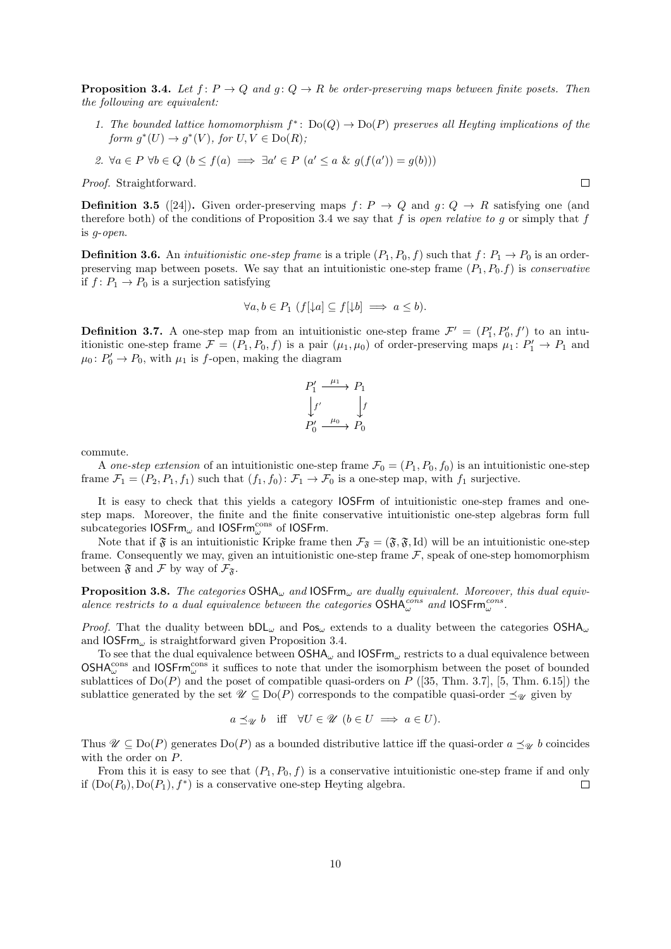**Proposition 3.4.** Let  $f: P \to Q$  and  $g: Q \to R$  be order-preserving maps between finite posets. Then the following are equivalent:

- 1. The bounded lattice homomorphism  $f^* \colon Do(Q) \to Do(P)$  preserves all Heyting implications of the form  $g^*(U) \to g^*(V)$ , for  $U, V \in Do(R)$ ;
- 2.  $\forall a \in P \ \forall b \in Q \ (b \leq f(a) \implies \exists a' \in P \ (a' \leq a \ \& \ g(f(a')) = g(b)))$

Proof. Straightforward.

**Definition 3.5** ([24]). Given order-preserving maps  $f: P \to Q$  and  $g: Q \to R$  satisfying one (and therefore both) of the conditions of Proposition 3.4 we say that f is open relative to g or simply that f is g-open.

**Definition 3.6.** An *intuitionistic one-step frame* is a triple  $(P_1, P_0, f)$  such that  $f: P_1 \rightarrow P_0$  is an orderpreserving map between posets. We say that an intuitionistic one-step frame  $(P_1, P_0, f)$  is *conservative* if  $f: P_1 \to P_0$  is a surjection satisfying

$$
\forall a, b \in P_1 \ (f[\downarrow a] \subseteq f[\downarrow b] \implies a \le b).
$$

**Definition 3.7.** A one-step map from an intuitionistic one-step frame  $\mathcal{F}' = (P'_1, P'_0, f')$  to an intuitionistic one-step frame  $\mathcal{F} = (P_1, P_0, f)$  is a pair  $(\mu_1, \mu_0)$  of order-preserving maps  $\mu_1 \colon P'_1 \to P_1$  and  $\mu_0: P'_0 \to P_0$ , with  $\mu_1$  is f-open, making the diagram

$$
P'_1 \xrightarrow{\mu_1} P_1
$$
  
\n
$$
\downarrow f'
$$
  
\n
$$
P'_0 \xrightarrow{\mu_0} P_0
$$

commute.

A one-step extension of an intuitionistic one-step frame  $\mathcal{F}_0 = (P_1, P_0, f_0)$  is an intuitionistic one-step frame  $\mathcal{F}_1 = (P_2, P_1, f_1)$  such that  $(f_1, f_0): \mathcal{F}_1 \to \mathcal{F}_0$  is a one-step map, with  $f_1$  surjective.

It is easy to check that this yields a category IOSFrm of intuitionistic one-step frames and onestep maps. Moreover, the finite and the finite conservative intuitionistic one-step algebras form full subcategories  $\mathsf{IOS}\mathsf{Frm}_\omega$  and  $\mathsf{IOS}\mathsf{Frm}^\mathrm{cons}_\omega$  of  $\mathsf{IOS}\mathsf{Frm}$ .

Note that if  $\mathfrak{F}$  is an intuitionistic Kripke frame then  $\mathcal{F}_{\mathfrak{F}} = (\mathfrak{F}, \mathfrak{F}, \mathrm{Id})$  will be an intuitionistic one-step frame. Consequently we may, given an intuitionistic one-step frame  $F$ , speak of one-step homomorphism between  $\mathfrak{F}$  and  $\mathcal F$  by way of  $\mathcal{F}_{\mathfrak{F}}$ .

**Proposition 3.8.** The categories  $OSHA_{\omega}$  and  $IOSFrm_{\omega}$  are dually equivalent. Moreover, this dual equivalence restricts to a dual equivalence between the categories  $\text{OSHA}_{\omega}^{cons}$  and  $\text{IOSFrm}^{\text{cons}}_{\omega}$ .

*Proof.* That the duality between  $bDL_{\omega}$  and  $Pos_{\omega}$  extends to a duality between the categories  $OSH_{\omega}$ and  $\text{IOSFrm}_{\omega}$  is straightforward given Proposition 3.4.

To see that the dual equivalence between  $\text{OSHA}_{\omega}$  and  $\text{IOSFrm}_{\omega}$  restricts to a dual equivalence between  $\mathsf{OSHA}_{\omega}^{\mathsf{cons}}$  and  $\mathsf{IOSFrm}^{\mathsf{cons}}_{\omega}$  it suffices to note that under the isomorphism between the poset of bounded sublattices of  $Do(P)$  and the poset of compatible quasi-orders on P ([35, Thm. 3.7], [5, Thm. 6.15]) the sublattice generated by the set  $\mathscr{U} \subseteq Do(P)$  corresponds to the compatible quasi-order  $\preceq_{\mathscr{U}}$  given by

$$
a \preceq_{\mathcal{U}} b
$$
 iff  $\forall U \in \mathcal{U} \ (b \in U \implies a \in U).$ 

Thus  $\mathscr{U} \subseteq \mathrm{Do}(P)$  generates  $\mathrm{Do}(P)$  as a bounded distributive lattice iff the quasi-order  $a \preceq_{\mathscr{U}} b$  coincides with the order on P.

From this it is easy to see that  $(P_1, P_0, f)$  is a conservative intuitionistic one-step frame if and only if  $(Do(P_0), Do(P_1), f^*)$  is a conservative one-step Heyting algebra.  $\Box$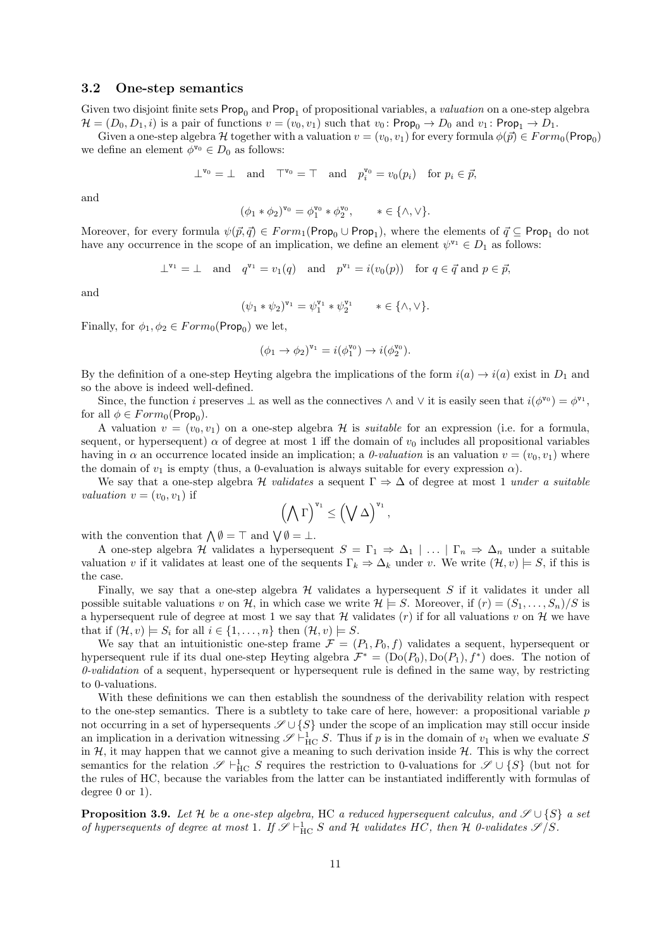#### 3.2 One-step semantics

Given two disjoint finite sets  $\mathsf{Prop}_0$  and  $\mathsf{Prop}_1$  of propositional variables, a *valuation* on a one-step algebra  $\mathcal{H} = (D_0, D_1, i)$  is a pair of functions  $v = (v_0, v_1)$  such that  $v_0$ : Prop<sub>0</sub>  $\rightarrow$   $D_0$  and  $v_1$ : Prop<sub>1</sub>  $\rightarrow$   $D_1$ .

Given a one-step algebra H together with a valuation  $v = (v_0, v_1)$  for every formula  $\phi(\vec{p}) \in Form_0(\text{Prop}_0)$ we define an element  $\phi^{v_0} \in D_0$  as follows:

$$
\perp^{\mathtt{v}_0} \ = \ \perp \quad \text{and} \quad \perp^{\mathtt{v}_0} \ = \ \top \quad \text{and} \quad p_i^{\mathtt{v}_0} = v_0(p_i) \quad \text{for } p_i \in \vec{p},
$$

and

$$
(\phi_1 * \phi_2)^{\mathtt{v}_0} = \phi_1^{\mathtt{v}_0} * \phi_2^{\mathtt{v}_0}, \qquad * \in \{\wedge, \vee\}.
$$

Moreover, for every formula  $\psi(\vec{p}, \vec{q}) \in Form_1(\mathsf{Prop}_0 \cup \mathsf{Prop}_1)$ , where the elements of  $\vec{q} \subseteq \mathsf{Prop}_1$  do not have any occurrence in the scope of an implication, we define an element  $\psi^{\mathbf{v}_1} \in D_1$  as follows:

$$
\perp^{\mathtt{v}_1} \ = \ \perp \quad \text{and} \quad q^{\mathtt{v}_1} = v_1(q) \quad \text{and} \quad p^{\mathtt{v}_1} = i(v_0(p)) \quad \text{for } q \in \vec{q} \text{ and } p \in \vec{p},
$$

and

$$
(\psi_1 * \psi_2)^{\mathbf{v}_1} = \psi_1^{\mathbf{v}_1} * \psi_2^{\mathbf{v}_1} \qquad * \in \{\wedge, \vee\}.
$$

Finally, for  $\phi_1, \phi_2 \in Form_0(\text{Prop}_0)$  we let,

$$
(\phi_1 \to \phi_2)^{\mathtt{v}_1} = i(\phi_1^{\mathtt{v}_0}) \to i(\phi_2^{\mathtt{v}_0}).
$$

By the definition of a one-step Heyting algebra the implications of the form  $i(a) \rightarrow i(a)$  exist in  $D_1$  and so the above is indeed well-defined.

Since, the function i preserves  $\perp$  as well as the connectives  $\wedge$  and  $\vee$  it is easily seen that  $i(\phi^{\mathbf{v}_0}) = \phi^{\mathbf{v}_1}$ , for all  $\phi \in Form_0(\mathsf{Prop}_0)$ .

A valuation  $v = (v_0, v_1)$  on a one-step algebra H is *suitable* for an expression (i.e. for a formula, sequent, or hypersequent)  $\alpha$  of degree at most 1 iff the domain of  $v_0$  includes all propositional variables having in  $\alpha$  an occurrence located inside an implication; a *0-valuation* is an valuation  $v = (v_0, v_1)$  where the domain of  $v_1$  is empty (thus, a 0-evaluation is always suitable for every expression  $\alpha$ ).

We say that a one-step algebra H validates a sequent  $\Gamma \Rightarrow \Delta$  of degree at most 1 under a suitable *valuation*  $v = (v_0, v_1)$  if

$$
\left(\bigwedge\Gamma\right)^{v_1}\leq \left(\bigvee\Delta\right)^{v_1},
$$

with the convention that  $\bigwedge \emptyset = \top$  and  $\bigvee \emptyset = \bot$ .

A one-step algebra H validates a hypersequent  $S = \Gamma_1 \Rightarrow \Delta_1 \mid \ldots \mid \Gamma_n \Rightarrow \Delta_n$  under a suitable valuation v if it validates at least one of the sequents  $\Gamma_k \Rightarrow \Delta_k$  under v. We write  $(\mathcal{H}, v) \models S$ , if this is the case.

Finally, we say that a one-step algebra  $\mathcal H$  validates a hypersequent S if it validates it under all possible suitable valuations v on H, in which case we write  $\mathcal{H} \models S$ . Moreover, if  $(r) = (S_1, \ldots, S_n)/S$  is a hypersequent rule of degree at most 1 we say that H validates  $(r)$  if for all valuations v on H we have that if  $(\mathcal{H}, v) \models S_i$  for all  $i \in \{1, \ldots, n\}$  then  $(\mathcal{H}, v) \models S$ .

We say that an intuitionistic one-step frame  $\mathcal{F} = (P_1, P_0, f)$  validates a sequent, hypersequent or hypersequent rule if its dual one-step Heyting algebra  $\mathcal{F}^* = (Do(P_0), Do(P_1), f^*)$  does. The notion of 0-validation of a sequent, hypersequent or hypersequent rule is defined in the same way, by restricting to 0-valuations.

With these definitions we can then establish the soundness of the derivability relation with respect to the one-step semantics. There is a subtlety to take care of here, however: a propositional variable  $p$ not occurring in a set of hypersequents  $\mathscr{S} \cup \{S\}$  under the scope of an implication may still occur inside an implication in a derivation witnessing  $\mathscr{S} \vdash^1_{\text{HC}} S$ . Thus if p is in the domain of  $v_1$  when we evaluate S in  $H$ , it may happen that we cannot give a meaning to such derivation inside  $H$ . This is why the correct semantics for the relation  $\mathscr{S} \vdash^1_{\text{HC}} S$  requires the restriction to 0-valuations for  $\mathscr{S} \cup \{S\}$  (but not for the rules of HC, because the variables from the latter can be instantiated indifferently with formulas of degree 0 or 1).

**Proposition 3.9.** Let H be a one-step algebra, HC a reduced hypersequent calculus, and  $\mathscr{S} \cup \{S\}$  a set of hypersequents of degree at most 1. If  $\mathscr{S} \vdash^1_{\mathrm{HC}} S$  and H validates HC, then H 0-validates  $\mathscr{S}/S$ .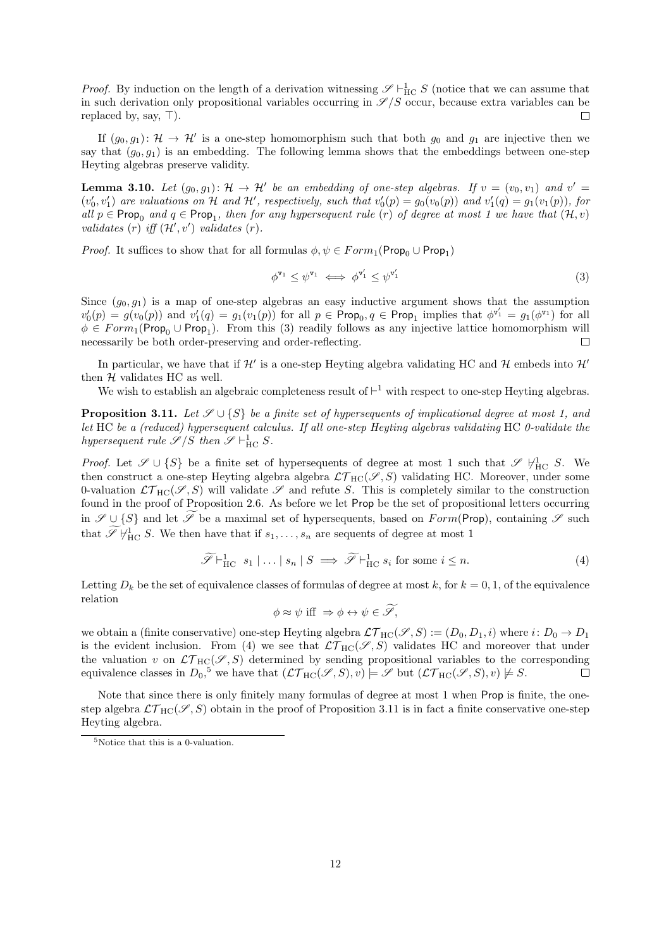*Proof.* By induction on the length of a derivation witnessing  $\mathscr{S} \vdash_{\text{HC}}^1 S$  (notice that we can assume that in such derivation only propositional variables occurring in  $\mathscr{S}/S$  occur, because extra variables can be replaced by, say,  $\top$ ).  $\Box$ 

If  $(g_0, g_1): \mathcal{H} \to \mathcal{H}'$  is a one-step homomorphism such that both  $g_0$  and  $g_1$  are injective then we say that  $(g_0, g_1)$  is an embedding. The following lemma shows that the embeddings between one-step Heyting algebras preserve validity.

**Lemma 3.10.** Let  $(g_0, g_1)$ :  $\mathcal{H} \to \mathcal{H}'$  be an embedding of one-step algebras. If  $v = (v_0, v_1)$  and  $v' =$  $(v'_0, v'_1)$  are valuations on H and H', respectively, such that  $v'_0(p) = g_0(v_0(p))$  and  $v'_1(q) = g_1(v_1(p))$ , for all  $p \in \text{Prop}_0$  and  $q \in \text{Prop}_1$ , then for any hypersequent rule (r) of degree at most 1 we have that  $(\mathcal{H}, v)$ validates  $(r)$  iff  $(\mathcal{H}', v')$  validates  $(r)$ .

*Proof.* It suffices to show that for all formulas  $\phi, \psi \in Form_1(\text{Prop}_0 \cup \text{Prop}_1)$ 

$$
\phi^{\mathbf{v}_1} \le \psi^{\mathbf{v}_1} \iff \phi^{\mathbf{v}'_1} \le \psi^{\mathbf{v}'_1} \tag{3}
$$

Since  $(g_0, g_1)$  is a map of one-step algebras an easy inductive argument shows that the assumption  $v'_0(p) = g(v_0(p))$  and  $v'_1(q) = g_1(v_1(p))$  for all  $p \in \text{Prop}_0, q \in \text{Prop}_1$  implies that  $\phi^{v'_1} = g_1(\phi^{v_1})$  for all  $\phi \in Form_1(Prop_0 \cup Prop_1)$ . From this (3) readily follows as any injective lattice homomorphism will necessarily be both order-preserving and order-reflecting.  $\Box$ 

In particular, we have that if  $\mathcal{H}'$  is a one-step Heyting algebra validating HC and  $\mathcal{H}$  embeds into  $\mathcal{H}'$ then  $H$  validates HC as well.

We wish to establish an algebraic completeness result of  $\vdash^1$  with respect to one-step Heyting algebras.

**Proposition 3.11.** Let  $\mathscr{S} \cup \{S\}$  be a finite set of hypersequents of implicational degree at most 1, and let HC be a (reduced) hypersequent calculus. If all one-step Heyting algebras validating HC 0-validate the hypersequent rule  $\mathscr{S}/S$  then  $\mathscr{S} \vdash^1_{\text{HC}} S$ .

*Proof.* Let  $\mathscr{S} \cup \{S\}$  be a finite set of hypersequents of degree at most 1 such that  $\mathscr{S} \nvDash_{HC} S$ . We then construct a one-step Heyting algebra algebra  $\mathcal{LT}_{HC}(\mathscr{S}, S)$  validating HC. Moreover, under some 0-valuation  $\mathcal{LT}_{HC}(\mathscr{S}, S)$  will validate  $\mathscr{S}$  and refute S. This is completely similar to the construction found in the proof of Proposition 2.6. As before we let Prop be the set of propositional letters occurring in  $\mathscr{S} \cup \{S\}$  and let  $\widetilde{\mathscr{S}}$  be a maximal set of hypersequents, based on  $Form(Prop)$ , containing  $\mathscr{S}$  such that  $\mathscr{I}\not\vdash_{\text{HC}}^1 S$ . We then have that if  $s_1,\ldots,s_n$  are sequents of degree at most 1

$$
\widetilde{\mathscr{S}} \vdash_{\mathrm{HC}}^1 s_1 \mid \ldots \mid s_n \mid S \implies \widetilde{\mathscr{S}} \vdash_{\mathrm{HC}}^1 s_i \text{ for some } i \leq n. \tag{4}
$$

Letting  $D_k$  be the set of equivalence classes of formulas of degree at most k, for  $k = 0, 1$ , of the equivalence relation

$$
\phi \approx \psi \text{ iff } \Rightarrow \phi \leftrightarrow \psi \in \widetilde{\mathscr{S}},
$$

we obtain a (finite conservative) one-step Heyting algebra  $\mathcal{LT}_{HC}(\mathcal{S}, S) := (D_0, D_1, i)$  where  $i: D_0 \to D_1$ is the evident inclusion. From (4) we see that  $\mathcal{LT}_{HC}(\mathscr{S}, S)$  validates HC and moreover that under the valuation v on  $\mathcal{LT}_{HC}(\mathscr{S}, S)$  determined by sending propositional variables to the corresponding equivalence classes in  $D_0$ ,<sup>5</sup> we have that  $(\mathcal{LT}_{HC}(\mathscr{S}, S), v) \models \mathscr{S}$  but  $(\mathcal{LT}_{HC}(\mathscr{S}, S), v) \not\models S$ .  $\Box$ 

Note that since there is only finitely many formulas of degree at most 1 when Prop is finite, the onestep algebra  $\mathcal{LT}_{HC}(\mathscr{S}, S)$  obtain in the proof of Proposition 3.11 is in fact a finite conservative one-step Heyting algebra.

 $^5\rm{Notice}$  that this is a 0-valuation.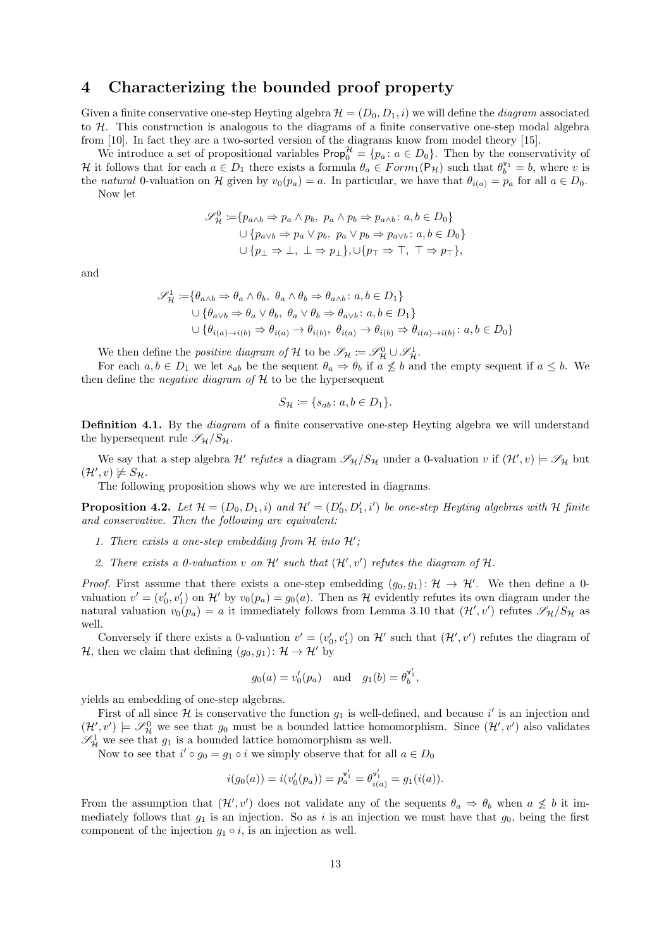## 4 Characterizing the bounded proof property

Given a finite conservative one-step Heyting algebra  $\mathcal{H} = (D_0, D_1, i)$  we will define the *diagram* associated to  $H$ . This construction is analogous to the diagrams of a finite conservative one-step modal algebra from [10]. In fact they are a two-sorted version of the diagrams know from model theory [15].

We introduce a set of propositional variables  $\mathsf{Prop}_{0}^{\mathcal{H}} = \{p_a : a \in D_0\}.$  Then by the conservativity of H it follows that for each  $a \in D_1$  there exists a formula  $\theta_a \in Form_1(\mathsf{P}_H)$  such that  $\theta_b^{\mathsf{v}_1} = b$ , where v is the natural 0-valuation on H given by  $v_0(p_a) = a$ . In particular, we have that  $\theta_{i(a)} = p_a$  for all  $a \in D_0$ . Now let

$$
\mathscr{S}_{\mathcal{H}}^{0} := \{ p_{a \wedge b} \Rightarrow p_a \wedge p_b, \ p_a \wedge p_b \Rightarrow p_{a \wedge b} : a, b \in D_0 \}
$$
  

$$
\cup \{ p_{a \vee b} \Rightarrow p_a \vee p_b, \ p_a \vee p_b \Rightarrow p_{a \vee b} : a, b \in D_0 \}
$$
  

$$
\cup \{ p_{\perp} \Rightarrow \bot, \ \bot \Rightarrow p_{\perp} \}, \cup \{ p_{\top} \Rightarrow \top, \ \top \Rightarrow p_{\top} \},
$$

and

$$
\mathcal{S}_{\mathcal{H}}^{1} := \{ \theta_{a \wedge b} \Rightarrow \theta_{a} \wedge \theta_{b}, \ \theta_{a} \wedge \theta_{b} \Rightarrow \theta_{a \wedge b} : a, b \in D_{1} \}
$$
  

$$
\cup \{ \theta_{a \vee b} \Rightarrow \theta_{a} \vee \theta_{b}, \ \theta_{a} \vee \theta_{b} \Rightarrow \theta_{a \vee b} : a, b \in D_{1} \}
$$
  

$$
\cup \{ \theta_{i(a) \rightarrow i(b)} \Rightarrow \theta_{i(a)} \rightarrow \theta_{i(b)}, \ \theta_{i(a)} \rightarrow \theta_{i(b)} \Rightarrow \theta_{i(a) \rightarrow i(b)} : a, b \in D_{0} \}
$$

We then define the *positive diagram of* H to be  $\mathscr{S}_{\mathcal{H}} \coloneqq \mathscr{S}_{\mathcal{H}}^0 \cup \mathscr{S}_{\mathcal{H}}^1$ .

For each  $a, b \in D_1$  we let  $s_{ab}$  be the sequent  $\theta_a \Rightarrow \theta_b$  if  $a \not\leq b$  and the empty sequent if  $a \leq b$ . We then define the *negative diagram* of  $H$  to be the hypersequent

$$
S_{\mathcal{H}} \coloneqq \{s_{ab} \colon a, b \in D_1\}.
$$

Definition 4.1. By the *diagram* of a finite conservative one-step Heyting algebra we will understand the hypersequent rule  $\mathscr{S}_{\mathcal{H}}/S_{\mathcal{H}}$ .

We say that a step algebra  $\mathcal{H}'$  refutes a diagram  $\mathscr{S}_{\mathcal{H}}/S_{\mathcal{H}}$  under a 0-valuation v if  $(\mathcal{H}',v) \models \mathscr{S}_{\mathcal{H}}$  but  $(\mathcal{H}', v) \not\models S_{\mathcal{H}}.$ 

The following proposition shows why we are interested in diagrams.

**Proposition 4.2.** Let  $\mathcal{H} = (D_0, D_1, i)$  and  $\mathcal{H}' = (D'_0, D'_1, i')$  be one-step Heyting algebras with  $\mathcal{H}$  finite and conservative. Then the following are equivalent:

- 1. There exists a one-step embedding from  $H$  into  $H'$ ;
- 2. There exists a 0-valuation v on  $\mathcal{H}'$  such that  $(\mathcal{H}', v')$  refutes the diagram of  $\mathcal{H}$ .

*Proof.* First assume that there exists a one-step embedding  $(g_0, g_1): \mathcal{H} \to \mathcal{H}'$ . We then define a 0valuation  $v' = (v'_0, v'_1)$  on  $\mathcal{H}'$  by  $v_0(p_a) = g_0(a)$ . Then as  $\mathcal{H}$  evidently refutes its own diagram under the natural valuation  $v_0(p_a) = a$  it immediately follows from Lemma 3.10 that  $(\mathcal{H}', v')$  refutes  $\mathscr{S}_{\mathcal{H}}/S_{\mathcal{H}}$  as well.

Conversely if there exists a 0-valuation  $v' = (v'_0, v'_1)$  on  $\mathcal{H}'$  such that  $(\mathcal{H}', v')$  refutes the diagram of H, then we claim that defining  $(g_0, g_1): \mathcal{H} \to \mathcal{H}'$  by

$$
g_0(a) = v'_0(p_a)
$$
 and  $g_1(b) = \theta_b^{v'_1}$ ,

yields an embedding of one-step algebras.

First of all since  $\mathcal H$  is conservative the function  $g_1$  is well-defined, and because i' is an injection and  $(\mathcal{H}', v') \models \mathscr{S}_{\mathcal{H}}^0$  we see that  $g_0$  must be a bounded lattice homomorphism. Since  $(\mathcal{H}', v')$  also validates  $\mathscr{S}_\mathcal{H}^1$  we see that  $g_1$  is a bounded lattice homomorphism as well.

Now to see that  $i' \circ g_0 = g_1 \circ i$  we simply observe that for all  $a \in D_0$ 

$$
i(g_0(a)) = i(v'_0(p_a)) = p_a^{v'_1} = \theta_{i(a)}^{v'_1} = g_1(i(a)).
$$

From the assumption that  $(\mathcal{H}', v')$  does not validate any of the sequents  $\theta_a \Rightarrow \theta_b$  when  $a \not\leq b$  it immediately follows that  $g_1$  is an injection. So as i is an injection we must have that  $g_0$ , being the first component of the injection  $g_1 \circ i$ , is an injection as well.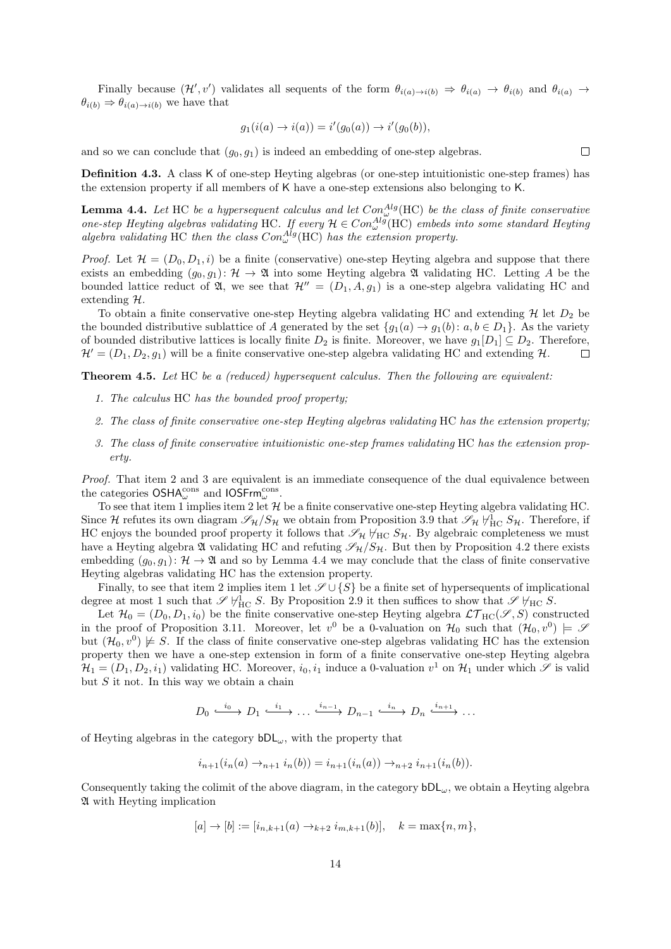Finally because  $(\mathcal{H}', v')$  validates all sequents of the form  $\theta_{i(a)\to i(b)} \Rightarrow \theta_{i(a)} \to \theta_{i(b)}$  and  $\theta_{i(a)} \to$  $\theta_{i(b)} \Rightarrow \theta_{i(a) \to i(b)}$  we have that

$$
g_1(i(a) \to i(a)) = i'(g_0(a)) \to i'(g_0(b)),
$$

and so we can conclude that  $(g_0, g_1)$  is indeed an embedding of one-step algebras.

Definition 4.3. A class K of one-step Heyting algebras (or one-step intuitionistic one-step frames) has the extension property if all members of K have a one-step extensions also belonging to K.

**Lemma 4.4.** Let HC be a hypersequent calculus and let  $Con_{\omega}^{Alg}(\text{HC})$  be the class of finite conservative one-step Heyting algebras validating HC. If every  $\mathcal{H} \in Con_{\omega}^{Alg}(\mathrm{HC})$  embeds into some standard Heyting algebra validating HC then the class  $Con_{\omega}^{Alg}(\text{HC})$  has the extension property.

*Proof.* Let  $\mathcal{H} = (D_0, D_1, i)$  be a finite (conservative) one-step Heyting algebra and suppose that there exists an embedding  $(g_0, g_1): \mathcal{H} \to \mathfrak{A}$  into some Heyting algebra  $\mathfrak A$  validating HC. Letting A be the bounded lattice reduct of  $\mathfrak{A}$ , we see that  $\mathcal{H}'' = (D_1, A, g_1)$  is a one-step algebra validating HC and extending H.

To obtain a finite conservative one-step Heyting algebra validating HC and extending  $H$  let  $D_2$  be the bounded distributive sublattice of A generated by the set  $\{g_1(a) \to g_1(b) : a, b \in D_1\}$ . As the variety of bounded distributive lattices is locally finite  $D_2$  is finite. Moreover, we have  $g_1[D_1] \subseteq D_2$ . Therefore,  $\mathcal{H} = (D_1, D_2, g_1)$  will be a finite conservative one-step algebra validating HC and extending  $\mathcal{H}$ .  $\Box$ 

Theorem 4.5. Let HC be a (reduced) hypersequent calculus. Then the following are equivalent:

- 1. The calculus HC has the bounded proof property;
- 2. The class of finite conservative one-step Heyting algebras validating HC has the extension property;
- 3. The class of finite conservative intuitionistic one-step frames validating HC has the extension property.

Proof. That item 2 and 3 are equivalent is an immediate consequence of the dual equivalence between the categories  $\mathsf{OSHA}^\mathrm{cons}_\omega$  and  $\mathsf{IOSFrm}^\mathrm{cons}_\omega$ .

To see that item 1 implies item 2 let  $H$  be a finite conservative one-step Heyting algebra validating HC. Since H refutes its own diagram  $\mathscr{S}_H/S_H$  we obtain from Proposition 3.9 that  $\mathscr{S}_H H_{\text{HC}}^1 S_H$ . Therefore, if HC enjoys the bounded proof property it follows that  $\mathscr{S}_{\mathcal{H}}\nvdash_{HC} S_{\mathcal{H}}$ . By algebraic completeness we must have a Heyting algebra  $\mathfrak A$  validating HC and refuting  $\mathscr S_{\mathcal H}/S_{\mathcal H}$ . But then by Proposition 4.2 there exists embedding  $(g_0, g_1): \mathcal{H} \to \mathfrak{A}$  and so by Lemma 4.4 we may conclude that the class of finite conservative Heyting algebras validating HC has the extension property.

Finally, to see that item 2 implies item 1 let  $\mathscr{S} \cup \{S\}$  be a finite set of hypersequents of implicational degree at most 1 such that  $\mathscr{S} \not\vdash_{\text{HC}}^1 S$ . By Proposition 2.9 it then suffices to show that  $\mathscr{S} \not\vdash_{\text{HC}} S$ .

Let  $\mathcal{H}_0 = (D_0, D_1, i_0)$  be the finite conservative one-step Heyting algebra  $\mathcal{LT}_{HC}(\mathscr{S}, S)$  constructed in the proof of Proposition 3.11. Moreover, let  $v^0$  be a 0-valuation on  $\mathcal{H}_0$  such that  $(\mathcal{H}_0, v^0) \models \mathscr{S}$ but  $(\mathcal{H}_0, v^0) \not\models S$ . If the class of finite conservative one-step algebras validating HC has the extension property then we have a one-step extension in form of a finite conservative one-step Heyting algebra  $\mathcal{H}_1=(D_1,D_2,i_1)$  validating HC. Moreover,  $i_0,i_1$  induce a 0-valuation  $v^1$  on  $\mathcal{H}_1$  under which  $\mathscr S$  is valid but  $S$  it not. In this way we obtain a chain

$$
D_0 \xrightarrow{i_0} D_1 \xrightarrow{i_1} \dots \xrightarrow{i_{n-1}} D_{n-1} \xrightarrow{i_n} D_n \xrightarrow{i_{n+1}} \dots
$$

of Heyting algebras in the category  $bDL_{\omega}$ , with the property that

$$
i_{n+1}(i_n(a) \to_{n+1} i_n(b)) = i_{n+1}(i_n(a)) \to_{n+2} i_{n+1}(i_n(b)).
$$

Consequently taking the colimit of the above diagram, in the category  $bDL_\omega$ , we obtain a Heyting algebra A with Heyting implication

$$
[a] \to [b] := [i_{n,k+1}(a) \to_{k+2} i_{m,k+1}(b)], \quad k = \max\{n, m\},\
$$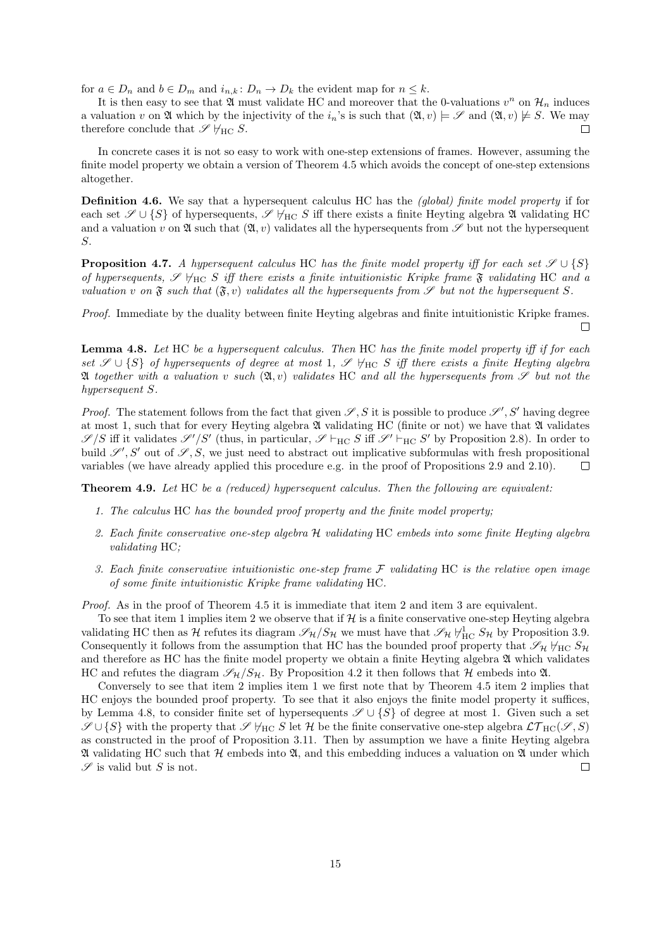for  $a \in D_n$  and  $b \in D_m$  and  $i_{n,k} : D_n \to D_k$  the evident map for  $n \leq k$ .

It is then easy to see that  $\mathfrak A$  must validate HC and moreover that the 0-valuations  $v^n$  on  $\mathcal H_n$  induces a valuation v on  $\mathfrak A$  which by the injectivity of the  $i_n$ 's is such that  $(\mathfrak A, v) \models \mathscr S$  and  $(\mathfrak A, v) \not\models S$ . We may therefore conclude that  $\mathscr{S} \not\models_{\text{HC}} S$ .  $\Box$ 

In concrete cases it is not so easy to work with one-step extensions of frames. However, assuming the finite model property we obtain a version of Theorem 4.5 which avoids the concept of one-step extensions altogether.

**Definition 4.6.** We say that a hypersequent calculus HC has the *(global) finite model property* if for each set  $\mathscr{S} \cup \{S\}$  of hypersequents,  $\mathscr{S} \nvdash_{HC} S$  iff there exists a finite Heyting algebra  $\mathfrak A$  validating HC and a valuation v on  $\mathfrak A$  such that  $(\mathfrak A, v)$  validates all the hypersequents from  $\mathscr S$  but not the hypersequent S.

**Proposition 4.7.** A hypersequent calculus HC has the finite model property iff for each set  $\mathscr{S} \cup \{S\}$ of hypersequents,  $\mathscr{S} \nvDash_{HC} S$  iff there exists a finite intuitionistic Kripke frame  $\mathfrak{F}$  validating HC and a valuation v on  $\mathfrak{F}$  such that  $(\mathfrak{F}, v)$  validates all the hypersequents from  $\mathscr{S}$  but not the hypersequent S.

Proof. Immediate by the duality between finite Heyting algebras and finite intuitionistic Kripke frames.  $\Box$ 

Lemma 4.8. Let HC be a hypersequent calculus. Then HC has the finite model property iff if for each set  $\mathscr{S} \cup \{S\}$  of hypersequents of degree at most 1,  $\mathscr{S}$   $\forall$ HC S iff there exists a finite Heyting algebra  $\mathfrak A$  together with a valuation v such  $(\mathfrak A, v)$  validates HC and all the hypersequents from  $\mathscr S$  but not the hypersequent S.

*Proof.* The statement follows from the fact that given  $S$ , S it is possible to produce  $S'$ , S' having degree at most 1, such that for every Heyting algebra  $\mathfrak A$  validating HC (finite or not) we have that  $\mathfrak A$  validates  $\mathscr{S}/S$  iff it validates  $\mathscr{S}'/S'$  (thus, in particular,  $\mathscr{S} \vdash_{HC} S$  iff  $\mathscr{S}' \vdash_{HC} S'$  by Proposition 2.8). In order to build  $\mathscr{S}', S'$  out of  $\mathscr{S}, S$ , we just need to abstract out implicative subformulas with fresh propositional variables (we have already applied this procedure e.g. in the proof of Propositions 2.9 and 2.10).  $\Box$ 

Theorem 4.9. Let HC be a (reduced) hypersequent calculus. Then the following are equivalent:

- 1. The calculus HC has the bounded proof property and the finite model property;
- 2. Each finite conservative one-step algebra H validating HC embeds into some finite Heyting algebra validating HC;
- 3. Each finite conservative intuitionistic one-step frame  $\mathcal F$  validating HC is the relative open image of some finite intuitionistic Kripke frame validating HC.

Proof. As in the proof of Theorem 4.5 it is immediate that item 2 and item 3 are equivalent.

To see that item 1 implies item 2 we observe that if  $H$  is a finite conservative one-step Heyting algebra validating HC then as  $H$  refutes its diagram  $\mathscr{S}_{H}/S_{H}$  we must have that  $\mathscr{S}_{H} \vdash_{HC}^{1} S_{H}$  by Proposition 3.9. Consequently it follows from the assumption that HC has the bounded proof property that  $\mathscr{S}_{\mathcal{H}}\not\vdash_{\mathrm{HC}} S_{\mathcal{H}}$ and therefore as HC has the finite model property we obtain a finite Heyting algebra  $\mathfrak A$  which validates HC and refutes the diagram  $\mathscr{S}_{\mathcal{H}}/S_{\mathcal{H}}$ . By Proposition 4.2 it then follows that H embeds into  $\mathfrak{A}$ .

Conversely to see that item 2 implies item 1 we first note that by Theorem 4.5 item 2 implies that HC enjoys the bounded proof property. To see that it also enjoys the finite model property it suffices, by Lemma 4.8, to consider finite set of hypersequents  $\mathscr{S} \cup \{S\}$  of degree at most 1. Given such a set  $\mathscr{S} \cup \{S\}$  with the property that  $\mathscr{S} \not\models_{HC} S$  let H be the finite conservative one-step algebra  $\mathcal{LT}_{HC}(\mathscr{S}, S)$ as constructed in the proof of Proposition 3.11. Then by assumption we have a finite Heyting algebra  $\mathfrak A$  validating HC such that  $\mathcal H$  embeds into  $\mathfrak A$ , and this embedding induces a valuation on  $\mathfrak A$  under which  $\mathscr S$  is valid but S is not.  $\Box$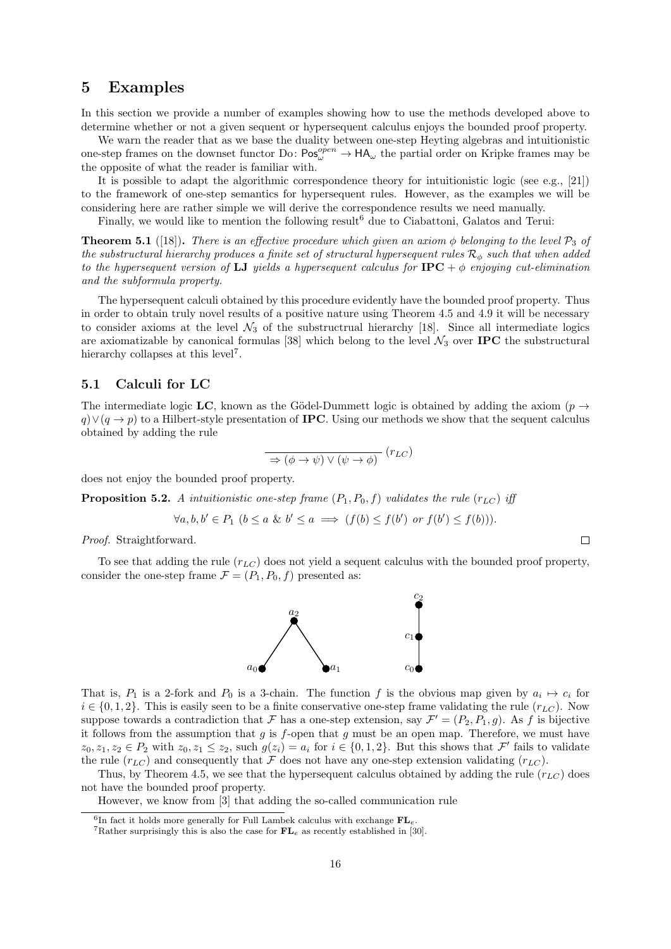## 5 Examples

In this section we provide a number of examples showing how to use the methods developed above to determine whether or not a given sequent or hypersequent calculus enjoys the bounded proof property.

We warn the reader that as we base the duality between one-step Heyting algebras and intuitionistic one-step frames on the downset functor Do:  $Pos_{\omega}^{open} \to HA_{\omega}$  the partial order on Kripke frames may be the opposite of what the reader is familiar with.

It is possible to adapt the algorithmic correspondence theory for intuitionistic logic (see e.g., [21]) to the framework of one-step semantics for hypersequent rules. However, as the examples we will be considering here are rather simple we will derive the correspondence results we need manually.

Finally, we would like to mention the following result<sup>6</sup> due to Ciabattoni, Galatos and Terui:

**Theorem 5.1** ([18]). There is an effective procedure which given an axiom  $\phi$  belonging to the level  $\mathcal{P}_3$  of the substructural hierarchy produces a finite set of structural hypersequent rules  $\mathcal{R}_{\phi}$  such that when added to the hypersequent version of LJ yields a hypersequent calculus for  $IPC + \phi$  enjoying cut-elimination and the subformula property.

The hypersequent calculi obtained by this procedure evidently have the bounded proof property. Thus in order to obtain truly novel results of a positive nature using Theorem 4.5 and 4.9 it will be necessary to consider axioms at the level  $\mathcal{N}_3$  of the substructrual hierarchy [18]. Since all intermediate logics are axiomatizable by canonical formulas [38] which belong to the level  $\mathcal{N}_3$  over **IPC** the substructural hierarchy collapses at this level<sup>7</sup>.

#### 5.1 Calculi for LC

The intermediate logic LC, known as the Gödel-Dummett logic is obtained by adding the axiom ( $p \rightarrow$  $q \vee (q \rightarrow p)$  to a Hilbert-style presentation of **IPC**. Using our methods we show that the sequent calculus obtained by adding the rule

$$
\overline{\Rightarrow (\phi \rightarrow \psi) \vee (\psi \rightarrow \phi)} \ (r_{LC})
$$

does not enjoy the bounded proof property.

**Proposition 5.2.** A intuitionistic one-step frame  $(P_1, P_0, f)$  validates the rule  $(r_{LC})$  iff

$$
\forall a, b, b' \in P_1 \ (b \le a \ \& \ b' \le a \implies (f(b) \le f(b') \ \ or \ f(b') \le f(b))).
$$

Proof. Straightforward.

To see that adding the rule  $(r_{LC})$  does not yield a sequent calculus with the bounded proof property, consider the one-step frame  $\mathcal{F} = (P_1, P_0, f)$  presented as:



That is,  $P_1$  is a 2-fork and  $P_0$  is a 3-chain. The function f is the obvious map given by  $a_i \mapsto c_i$  for  $i \in \{0, 1, 2\}$ . This is easily seen to be a finite conservative one-step frame validating the rule  $(r_{LC})$ . Now suppose towards a contradiction that F has a one-step extension, say  $\mathcal{F}' = (P_2, P_1, g)$ . As f is bijective it follows from the assumption that q is f-open that q must be an open map. Therefore, we must have  $z_0, z_1, z_2 \in P_2$  with  $z_0, z_1 \leq z_2$ , such  $g(z_i) = a_i$  for  $i \in \{0, 1, 2\}$ . But this shows that  $\mathcal{F}'$  fails to validate the rule  $(r_{LC})$  and consequently that F does not have any one-step extension validating  $(r_{LC})$ .

Thus, by Theorem 4.5, we see that the hypersequent calculus obtained by adding the rule  $(r_{LC})$  does not have the bounded proof property.

However, we know from [3] that adding the so-called communication rule



 $^6{\rm In}$  fact it holds more generally for Full Lambek calculus with exchange  ${\bf FL}_e.$ 

<sup>&</sup>lt;sup>7</sup>Rather surprisingly this is also the case for  $FL_e$  as recently established in [30].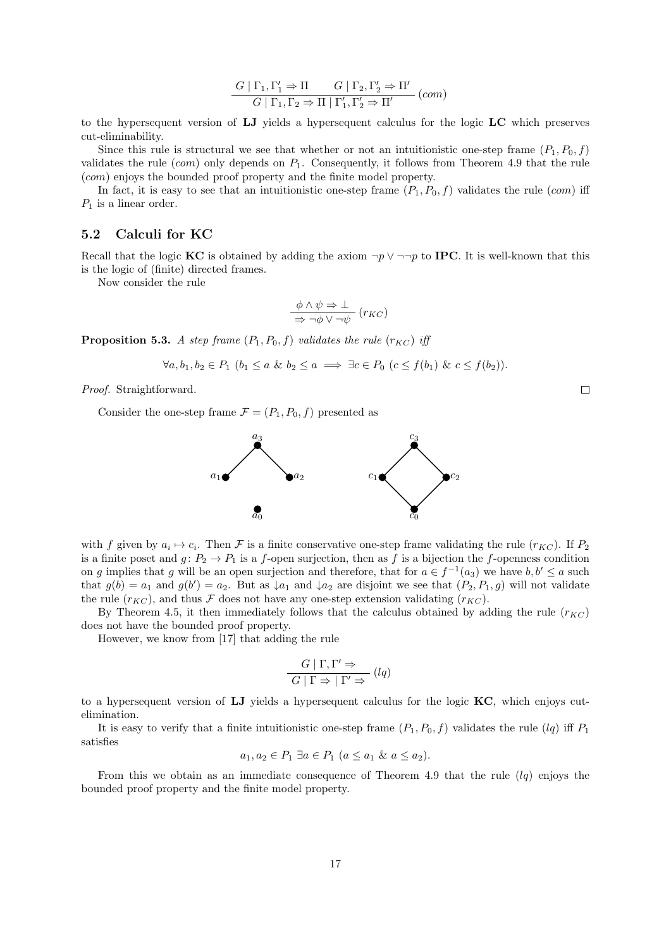$$
\frac{G \mid \Gamma_1, \Gamma'_1 \Rightarrow \Pi \qquad G \mid \Gamma_2, \Gamma'_2 \Rightarrow \Pi'}{G \mid \Gamma_1, \Gamma_2 \Rightarrow \Pi \mid \Gamma'_1, \Gamma'_2 \Rightarrow \Pi'} \ (com)
$$

to the hypersequent version of LJ yields a hypersequent calculus for the logic LC which preserves cut-eliminability.

Since this rule is structural we see that whether or not an intuitionistic one-step frame  $(P_1, P_0, f)$ validates the rule (com) only depends on  $P_1$ . Consequently, it follows from Theorem 4.9 that the rule (com) enjoys the bounded proof property and the finite model property.

In fact, it is easy to see that an intuitionistic one-step frame  $(P_1, P_0, f)$  validates the rule (com) iff  $P_1$  is a linear order.

#### 5.2 Calculi for KC

Recall that the logic KC is obtained by adding the axiom  $\neg p \lor \neg \neg p$  to IPC. It is well-known that this is the logic of (finite) directed frames.

Now consider the rule

$$
\frac{\phi \land \psi \Rightarrow \bot}{\Rightarrow \neg \phi \lor \neg \psi} (r_{KC})
$$

**Proposition 5.3.** A step frame  $(P_1, P_0, f)$  validates the rule  $(r_{KC})$  iff

$$
\forall a, b_1, b_2 \in P_1 \ (b_1 \le a \ \& \ b_2 \le a \implies \exists c \in P_0 \ (c \le f(b_1) \ \& \ c \le f(b_2)).
$$

Proof. Straightforward.

Consider the one-step frame  $\mathcal{F} = (P_1, P_0, f)$  presented as



with f given by  $a_i \mapsto c_i$ . Then F is a finite conservative one-step frame validating the rule  $(r_{KC})$ . If  $P_2$ is a finite poset and  $g: P_2 \to P_1$  is a f-open surjection, then as f is a bijection the f-openness condition on g implies that g will be an open surjection and therefore, that for  $a \in f^{-1}(a_3)$  we have  $b, b' \le a$  such that  $g(b) = a_1$  and  $g(b') = a_2$ . But as  $\downarrow a_1$  and  $\downarrow a_2$  are disjoint we see that  $(P_2, P_1, g)$  will not validate the rule  $(r_{KC})$ , and thus F does not have any one-step extension validating  $(r_{KC})$ .

By Theorem 4.5, it then immediately follows that the calculus obtained by adding the rule  $(r_{KC})$ does not have the bounded proof property.

However, we know from [17] that adding the rule

$$
\frac{G \mid \Gamma, \Gamma' \Rightarrow}{G \mid \Gamma \Rightarrow \mid \Gamma' \Rightarrow} (lq)
$$

to a hypersequent version of LJ yields a hypersequent calculus for the logic KC, which enjoys cutelimination.

It is easy to verify that a finite intuitionistic one-step frame  $(P_1, P_0, f)$  validates the rule  $(lq)$  iff  $P_1$ satisfies

$$
a_1, a_2 \in P_1 \ \exists a \in P_1 \ (a \le a_1 \ \& \ a \le a_2).
$$

From this we obtain as an immediate consequence of Theorem 4.9 that the rule  $(lq)$  enjoys the bounded proof property and the finite model property.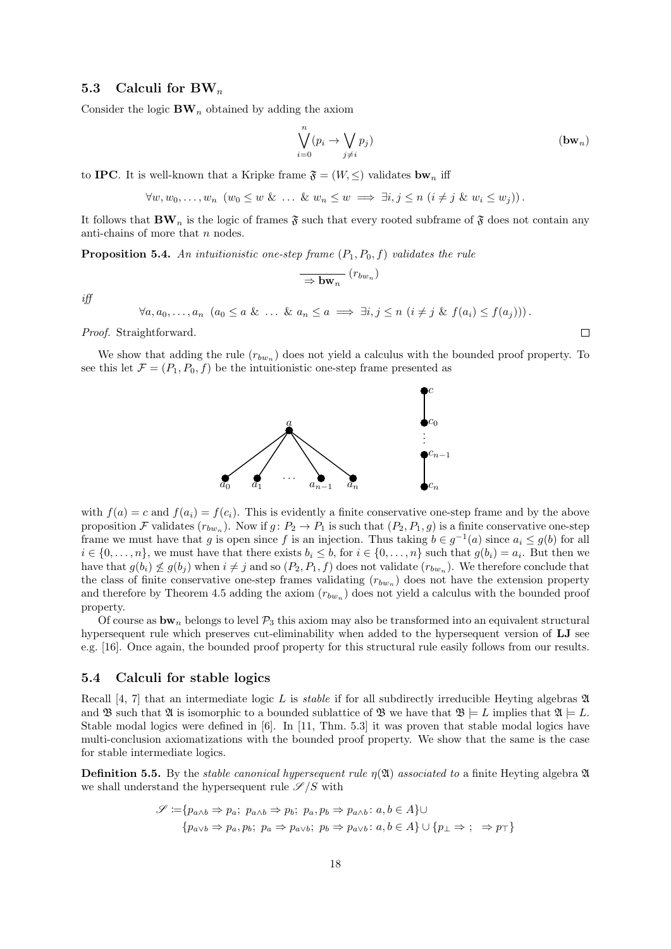#### 5.3 Calculi for  $BW_n$

Consider the logic  $BW_n$  obtained by adding the axiom

$$
\bigvee_{i=0}^{n} (p_i \to \bigvee_{j \neq i} p_j) \tag{bw_n}
$$

to **IPC**. It is well-known that a Kripke frame  $\mathfrak{F} = (W, \leq)$  validates by  $\mathfrak{h}_n$  iff

$$
\forall w, w_0, \ldots, w_n \ (w_0 \le w \ \& \ \ldots \ \& \ w_n \le w \implies \exists i, j \le n \ (i \neq j \ \& \ w_i \le w_j)).
$$

It follows that  $\mathbf{BW}_n$  is the logic of frames  $\mathfrak{F}$  such that every rooted subframe of  $\mathfrak{F}$  does not contain any anti-chains of more that  $n$  nodes.

**Proposition 5.4.** An intuitionistic one-step frame  $(P_1, P_0, f)$  validates the rule

$$
\overline{\rightarrow \mathbf{bw}_n} (r_{bw_n})
$$

iff

 $\forall a, a_0, \ldots, a_n \ (a_0 \leq a \ \& \ \ldots \ \& \ a_n \leq a \implies \exists i, j \leq n \ (i \neq j \ \& \ f(a_i) \leq f(a_j))$ .

Proof. Straightforward.

We show that adding the rule  $(r_{bw_n})$  does not yield a calculus with the bounded proof property. To see this let  $\mathcal{F} = (P_1, P_0, f)$  be the intuitionistic one-step frame presented as



with  $f(a) = c$  and  $f(a_i) = f(c_i)$ . This is evidently a finite conservative one-step frame and by the above proposition F validates  $(r_{bw_n})$ . Now if  $g: P_2 \to P_1$  is such that  $(P_2, P_1, g)$  is a finite conservative one-step frame we must have that g is open since f is an injection. Thus taking  $b \in g^{-1}(a)$  since  $a_i \leq g(b)$  for all  $i \in \{0, \ldots, n\}$ , we must have that there exists  $b_i \leq b$ , for  $i \in \{0, \ldots, n\}$  such that  $g(b_i) = a_i$ . But then we have that  $g(b_i) \not\leq g(b_j)$  when  $i \neq j$  and so  $(P_2, P_1, f)$  does not validate  $(r_{bw_n})$ . We therefore conclude that the class of finite conservative one-step frames validating  $(r_{bw_n})$  does not have the extension property and therefore by Theorem 4.5 adding the axiom  $(r_{bw_n})$  does not yield a calculus with the bounded proof property.

Of course as  $\mathbf{b}\mathbf{w}_n$  belongs to level  $\mathcal{P}_3$  this axiom may also be transformed into an equivalent structural hypersequent rule which preserves cut-eliminability when added to the hypersequent version of LJ see e.g. [16]. Once again, the bounded proof property for this structural rule easily follows from our results.

#### 5.4 Calculi for stable logics

Recall [4, 7] that an intermediate logic L is *stable* if for all subdirectly irreducible Heyting algebras  $\mathfrak{A}$ and B such that  $\mathfrak{A}$  is isomorphic to a bounded sublattice of B we have that  $\mathfrak{B} \models L$  implies that  $\mathfrak{A} \models L$ . Stable modal logics were defined in [6]. In [11, Thm. 5.3] it was proven that stable modal logics have multi-conclusion axiomatizations with the bounded proof property. We show that the same is the case for stable intermediate logics.

**Definition 5.5.** By the *stable canonical hypersequent rule*  $\eta(\mathfrak{A})$  *associated to a finite Heyting algebra*  $\mathfrak{A}$ we shall understand the hypersequent rule  $\mathscr{S}/S$  with

$$
\mathscr{S} := \{ p_{a \wedge b} \Rightarrow p_a; \ p_{a \wedge b} \Rightarrow p_b; \ p_a, p_b \Rightarrow p_{a \wedge b} : a, b \in A \} \cup
$$

$$
\{ p_{a \vee b} \Rightarrow p_a, p_b; \ p_a \Rightarrow p_{a \vee b}; \ p_b \Rightarrow p_{a \vee b} : a, b \in A \} \cup \{ p_\perp \Rightarrow ; \ \Rightarrow p_\top \}
$$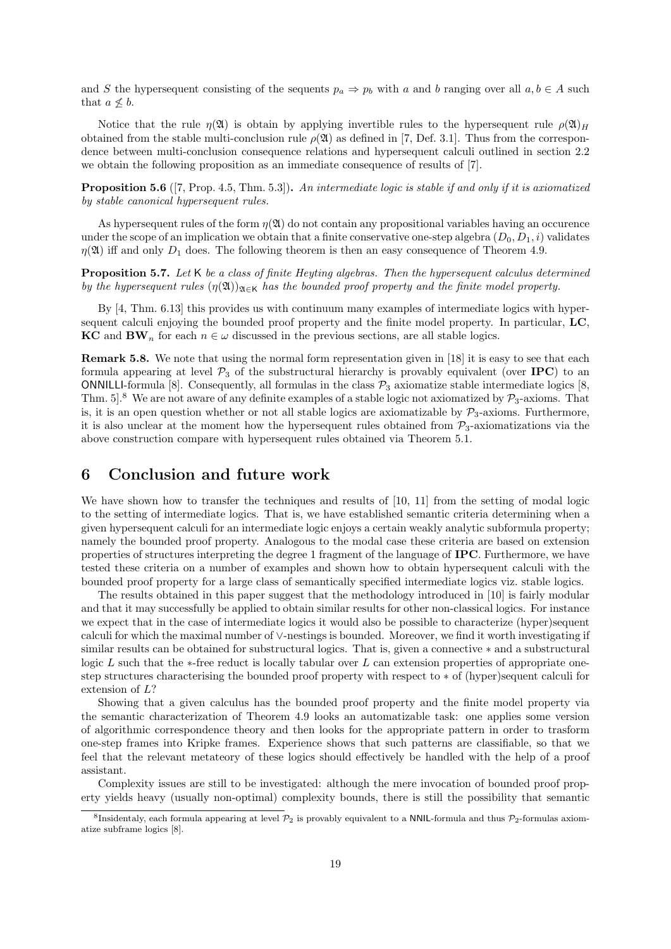and S the hypersequent consisting of the sequents  $p_a \Rightarrow p_b$  with a and b ranging over all  $a, b \in A$  such that  $a \nless b$ .

Notice that the rule  $\eta(\mathfrak{A})$  is obtain by applying invertible rules to the hypersequent rule  $\rho(\mathfrak{A})_H$ obtained from the stable multi-conclusion rule  $\rho(\mathfrak{A})$  as defined in [7, Def. 3.1]. Thus from the correspondence between multi-conclusion consequence relations and hypersequent calculi outlined in section 2.2 we obtain the following proposition as an immediate consequence of results of [7].

Proposition 5.6 ([7, Prop. 4.5, Thm. 5.3]). An intermediate logic is stable if and only if it is axiomatized by stable canonical hypersequent rules.

As hypersequent rules of the form  $\eta(\mathfrak{A})$  do not contain any propositional variables having an occurence under the scope of an implication we obtain that a finite conservative one-step algebra  $(D_0, D_1, i)$  validates  $\eta(\mathfrak{A})$  iff and only  $D_1$  does. The following theorem is then an easy consequence of Theorem 4.9.

Proposition 5.7. Let K be a class of finite Heyting algebras. Then the hypersequent calculus determined by the hypersequent rules  $(\eta(\mathfrak{A}))_{\mathfrak{A}\in\mathsf{K}}$  has the bounded proof property and the finite model property.

By [4, Thm. 6.13] this provides us with continuum many examples of intermediate logics with hypersequent calculi enjoying the bounded proof property and the finite model property. In particular, LC, KC and BW<sub>n</sub> for each  $n \in \omega$  discussed in the previous sections, are all stable logics.

Remark 5.8. We note that using the normal form representation given in [18] it is easy to see that each formula appearing at level  $\mathcal{P}_3$  of the substructural hierarchy is provably equivalent (over IPC) to an ONNILLI-formula [8]. Consequently, all formulas in the class  $\mathcal{P}_3$  axiomatize stable intermediate logics [8, Thm.  $5$ <sup>8</sup>. We are not aware of any definite examples of a stable logic not axiomatized by  $\mathcal{P}_3$ -axioms. That is, it is an open question whether or not all stable logics are axiomatizable by  $P_3$ -axioms. Furthermore, it is also unclear at the moment how the hypersequent rules obtained from  $P_3$ -axiomatizations via the above construction compare with hypersequent rules obtained via Theorem 5.1.

### 6 Conclusion and future work

We have shown how to transfer the techniques and results of [10, 11] from the setting of modal logic to the setting of intermediate logics. That is, we have established semantic criteria determining when a given hypersequent calculi for an intermediate logic enjoys a certain weakly analytic subformula property; namely the bounded proof property. Analogous to the modal case these criteria are based on extension properties of structures interpreting the degree 1 fragment of the language of IPC. Furthermore, we have tested these criteria on a number of examples and shown how to obtain hypersequent calculi with the bounded proof property for a large class of semantically specified intermediate logics viz. stable logics.

The results obtained in this paper suggest that the methodology introduced in [10] is fairly modular and that it may successfully be applied to obtain similar results for other non-classical logics. For instance we expect that in the case of intermediate logics it would also be possible to characterize (hyper)sequent calculi for which the maximal number of ∨-nestings is bounded. Moreover, we find it worth investigating if similar results can be obtained for substructural logics. That is, given a connective ∗ and a substructural logic L such that the  $*$ -free reduct is locally tabular over L can extension properties of appropriate onestep structures characterising the bounded proof property with respect to ∗ of (hyper)sequent calculi for extension of L?

Showing that a given calculus has the bounded proof property and the finite model property via the semantic characterization of Theorem 4.9 looks an automatizable task: one applies some version of algorithmic correspondence theory and then looks for the appropriate pattern in order to trasform one-step frames into Kripke frames. Experience shows that such patterns are classifiable, so that we feel that the relevant metateory of these logics should effectively be handled with the help of a proof assistant.

Complexity issues are still to be investigated: although the mere invocation of bounded proof property yields heavy (usually non-optimal) complexity bounds, there is still the possibility that semantic

<sup>&</sup>lt;sup>8</sup>Insidentaly, each formula appearing at level  $\mathcal{P}_2$  is provably equivalent to a NNIL-formula and thus  $\mathcal{P}_2$ -formulas axiomatize subframe logics [8].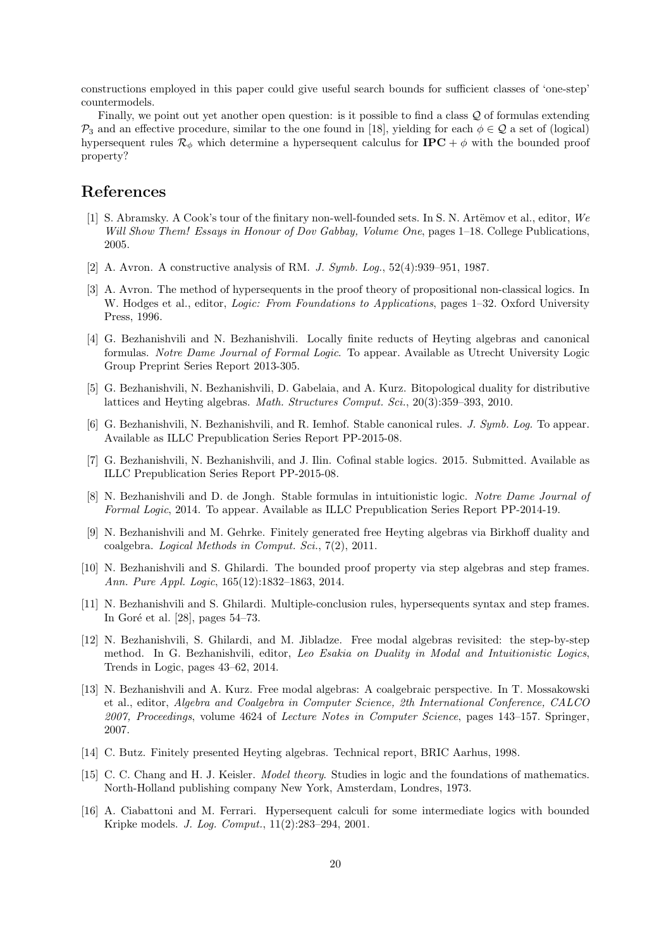constructions employed in this paper could give useful search bounds for sufficient classes of 'one-step' countermodels.

Finally, we point out yet another open question: is it possible to find a class Q of formulas extending  $P_3$  and an effective procedure, similar to the one found in [18], yielding for each  $\phi \in \mathcal{Q}$  a set of (logical) hypersequent rules  $\mathcal{R}_{\phi}$  which determine a hypersequent calculus for **IPC** +  $\phi$  with the bounded proof property?

## References

- [1] S. Abramsky. A Cook's tour of the finitary non-well-founded sets. In S. N. Artëmov et al., editor, We Will Show Them! Essays in Honour of Dov Gabbay, Volume One, pages 1–18. College Publications, 2005.
- [2] A. Avron. A constructive analysis of RM. J. Symb. Log., 52(4):939–951, 1987.
- [3] A. Avron. The method of hypersequents in the proof theory of propositional non-classical logics. In W. Hodges et al., editor, *Logic: From Foundations to Applications*, pages 1–32. Oxford University Press, 1996.
- [4] G. Bezhanishvili and N. Bezhanishvili. Locally finite reducts of Heyting algebras and canonical formulas. Notre Dame Journal of Formal Logic. To appear. Available as Utrecht University Logic Group Preprint Series Report 2013-305.
- [5] G. Bezhanishvili, N. Bezhanishvili, D. Gabelaia, and A. Kurz. Bitopological duality for distributive lattices and Heyting algebras. Math. Structures Comput. Sci., 20(3):359–393, 2010.
- [6] G. Bezhanishvili, N. Bezhanishvili, and R. Iemhof. Stable canonical rules. J. Symb. Log. To appear. Available as ILLC Prepublication Series Report PP-2015-08.
- [7] G. Bezhanishvili, N. Bezhanishvili, and J. Ilin. Cofinal stable logics. 2015. Submitted. Available as ILLC Prepublication Series Report PP-2015-08.
- [8] N. Bezhanishvili and D. de Jongh. Stable formulas in intuitionistic logic. Notre Dame Journal of Formal Logic, 2014. To appear. Available as ILLC Prepublication Series Report PP-2014-19.
- [9] N. Bezhanishvili and M. Gehrke. Finitely generated free Heyting algebras via Birkhoff duality and coalgebra. Logical Methods in Comput. Sci., 7(2), 2011.
- [10] N. Bezhanishvili and S. Ghilardi. The bounded proof property via step algebras and step frames. Ann. Pure Appl. Logic, 165(12):1832–1863, 2014.
- [11] N. Bezhanishvili and S. Ghilardi. Multiple-conclusion rules, hypersequents syntax and step frames. In Goré et al.  $[28]$ , pages 54–73.
- [12] N. Bezhanishvili, S. Ghilardi, and M. Jibladze. Free modal algebras revisited: the step-by-step method. In G. Bezhanishvili, editor, Leo Esakia on Duality in Modal and Intuitionistic Logics, Trends in Logic, pages 43–62, 2014.
- [13] N. Bezhanishvili and A. Kurz. Free modal algebras: A coalgebraic perspective. In T. Mossakowski et al., editor, Algebra and Coalgebra in Computer Science, 2th International Conference, CALCO 2007, Proceedings, volume 4624 of Lecture Notes in Computer Science, pages 143–157. Springer, 2007.
- [14] C. Butz. Finitely presented Heyting algebras. Technical report, BRIC Aarhus, 1998.
- [15] C. C. Chang and H. J. Keisler. Model theory. Studies in logic and the foundations of mathematics. North-Holland publishing company New York, Amsterdam, Londres, 1973.
- [16] A. Ciabattoni and M. Ferrari. Hypersequent calculi for some intermediate logics with bounded Kripke models. J. Log. Comput., 11(2):283–294, 2001.